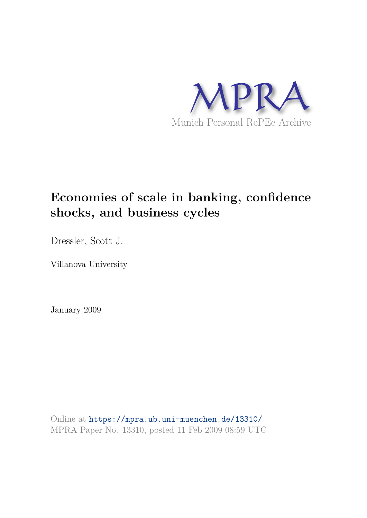

## **Economies of scale in banking, confidence shocks, and business cycles**

Dressler, Scott J.

Villanova University

January 2009

Online at https://mpra.ub.uni-muenchen.de/13310/ MPRA Paper No. 13310, posted 11 Feb 2009 08:59 UTC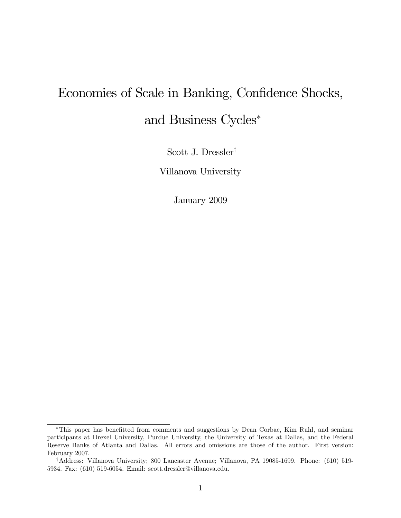# Economies of Scale in Banking, Confidence Shocks, and Business Cycles\*

Scott J. Dressler<sup>†</sup>

Villanova University

January 2009

<sup>\*</sup>This paper has benefitted from comments and suggestions by Dean Corbae, Kim Ruhl, and seminar participants at Drexel University, Purdue University, the University of Texas at Dallas, and the Federal Reserve Banks of Atlanta and Dallas. All errors and omissions are those of the author. First version: February 2007.

<sup>&</sup>lt;sup>†</sup>Address: Villanova University; 800 Lancaster Avenue; Villanova, PA 19085-1699. Phone: (610) 519-5934. Fax: (610) 519-6054. Email: scott.dressler@villanova.edu.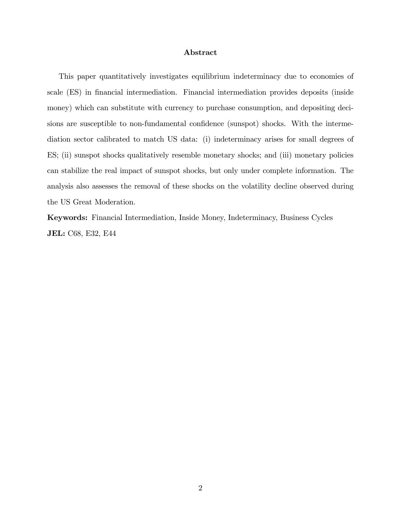#### Abstract

This paper quantitatively investigates equilibrium indeterminacy due to economies of scale (ES) in financial intermediation. Financial intermediation provides deposits (inside money) which can substitute with currency to purchase consumption, and depositing decisions are susceptible to non-fundamental confidence (sunspot) shocks. With the intermediation sector calibrated to match US data: (i) indeterminacy arises for small degrees of ES; (ii) sunspot shocks qualitatively resemble monetary shocks; and (iii) monetary policies can stabilize the real impact of sunspot shocks, but only under complete information. The analysis also assesses the removal of these shocks on the volatility decline observed during the US Great Moderation.

Keywords: Financial Intermediation, Inside Money, Indeterminacy, Business Cycles JEL: C68, E32, E44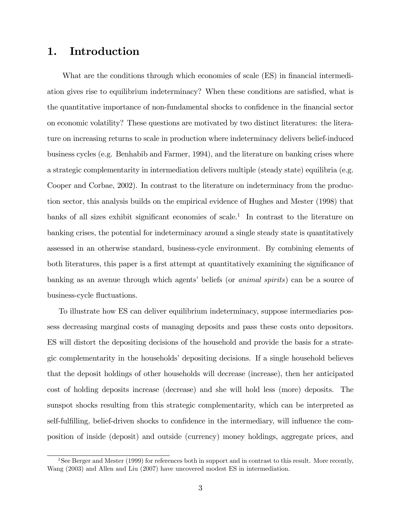## 1. Introduction

What are the conditions through which economies of scale (ES) in financial intermediation gives rise to equilibrium indeterminacy? When these conditions are satisfied, what is the quantitative importance of non-fundamental shocks to confidence in the financial sector on economic volatility? These questions are motivated by two distinct literatures: the literature on increasing returns to scale in production where indeterminacy delivers belief-induced business cycles (e.g. Benhabib and Farmer, 1994), and the literature on banking crises where a strategic complementarity in intermediation delivers multiple (steady state) equilibria (e.g. Cooper and Corbae, 2002). In contrast to the literature on indeterminacy from the production sector, this analysis builds on the empirical evidence of Hughes and Mester (1998) that banks of all sizes exhibit significant economies of scale.<sup>1</sup> In contrast to the literature on banking crises, the potential for indeterminacy around a single steady state is quantitatively assessed in an otherwise standard, business-cycle environment. By combining elements of both literatures, this paper is a first attempt at quantitatively examining the significance of banking as an avenue through which agents' beliefs (or *animal spirits*) can be a source of business-cycle fluctuations.

To illustrate how ES can deliver equilibrium indeterminacy, suppose intermediaries possess decreasing marginal costs of managing deposits and pass these costs onto depositors. ES will distort the depositing decisions of the household and provide the basis for a strategic complementarity in the householdsí depositing decisions. If a single household believes that the deposit holdings of other households will decrease (increase), then her anticipated cost of holding deposits increase (decrease) and she will hold less (more) deposits. The sunspot shocks resulting from this strategic complementarity, which can be interpreted as self-fulfilling, belief-driven shocks to confidence in the intermediary, will influence the composition of inside (deposit) and outside (currency) money holdings, aggregate prices, and

<sup>&</sup>lt;sup>1</sup>See Berger and Mester (1999) for references both in support and in contrast to this result. More recently, Wang (2003) and Allen and Liu (2007) have uncovered modest ES in intermediation.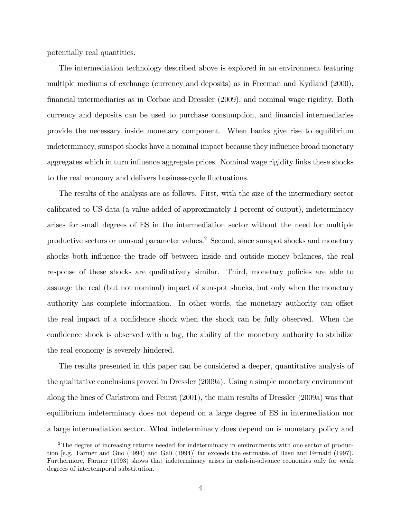potentially real quantities.

The intermediation technology described above is explored in an environment featuring multiple mediums of exchange (currency and deposits) as in Freeman and Kydland (2000), Önancial intermediaries as in Corbae and Dressler (2009), and nominal wage rigidity. Both currency and deposits can be used to purchase consumption, and financial intermediaries provide the necessary inside monetary component. When banks give rise to equilibrium indeterminacy, sunspot shocks have a nominal impact because they influence broad monetary aggregates which in turn influence aggregate prices. Nominal wage rigidity links these shocks to the real economy and delivers business-cycle fluctuations.

The results of the analysis are as follows. First, with the size of the intermediary sector calibrated to US data (a value added of approximately 1 percent of output), indeterminacy arises for small degrees of ES in the intermediation sector without the need for multiple productive sectors or unusual parameter values.<sup>2</sup> Second, since sunspot shocks and monetary shocks both influence the trade of between inside and outside money balances, the real response of these shocks are qualitatively similar. Third, monetary policies are able to assuage the real (but not nominal) impact of sunspot shocks, but only when the monetary authority has complete information. In other words, the monetary authority can offset the real impact of a confidence shock when the shock can be fully observed. When the confidence shock is observed with a lag, the ability of the monetary authority to stabilize the real economy is severely hindered.

The results presented in this paper can be considered a deeper, quantitative analysis of the qualitative conclusions proved in Dressler (2009a). Using a simple monetary environment along the lines of Carlstrom and Feurst (2001), the main results of Dressler (2009a) was that equilibrium indeterminacy does not depend on a large degree of ES in intermediation nor a large intermediation sector. What indeterminacy does depend on is monetary policy and

<sup>&</sup>lt;sup>2</sup>The degree of increasing returns needed for indeterminacy in environments with one sector of production [e.g. Farmer and Guo (1994) and Gali (1994)] far exceeds the estimates of Basu and Fernald (1997). Furthermore, Farmer (1993) shows that indeterminacy arises in cash-in-advance economies only for weak degrees of intertemporal substitution.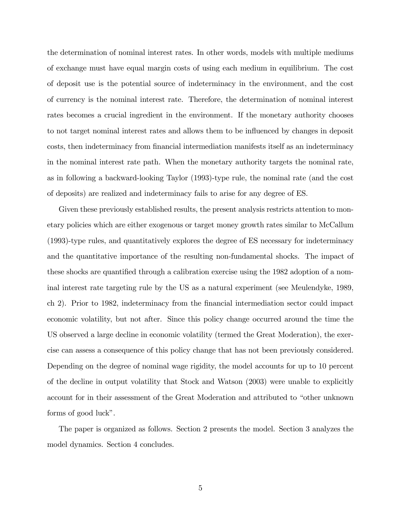the determination of nominal interest rates. In other words, models with multiple mediums of exchange must have equal margin costs of using each medium in equilibrium. The cost of deposit use is the potential source of indeterminacy in the environment, and the cost of currency is the nominal interest rate. Therefore, the determination of nominal interest rates becomes a crucial ingredient in the environment. If the monetary authority chooses to not target nominal interest rates and allows them to be influenced by changes in deposit costs, then indeterminacy from Önancial intermediation manifests itself as an indeterminacy in the nominal interest rate path. When the monetary authority targets the nominal rate, as in following a backward-looking Taylor (1993)-type rule, the nominal rate (and the cost of deposits) are realized and indeterminacy fails to arise for any degree of ES.

Given these previously established results, the present analysis restricts attention to monetary policies which are either exogenous or target money growth rates similar to McCallum (1993)-type rules, and quantitatively explores the degree of ES necessary for indeterminacy and the quantitative importance of the resulting non-fundamental shocks. The impact of these shocks are quantified through a calibration exercise using the 1982 adoption of a nominal interest rate targeting rule by the US as a natural experiment (see Meulendyke, 1989, ch 2). Prior to 1982, indeterminacy from the financial intermediation sector could impact economic volatility, but not after. Since this policy change occurred around the time the US observed a large decline in economic volatility (termed the Great Moderation), the exercise can assess a consequence of this policy change that has not been previously considered. Depending on the degree of nominal wage rigidity, the model accounts for up to 10 percent of the decline in output volatility that Stock and Watson (2003) were unable to explicitly account for in their assessment of the Great Moderation and attributed to "other unknown" forms of good luck".

The paper is organized as follows. Section 2 presents the model. Section 3 analyzes the model dynamics. Section 4 concludes.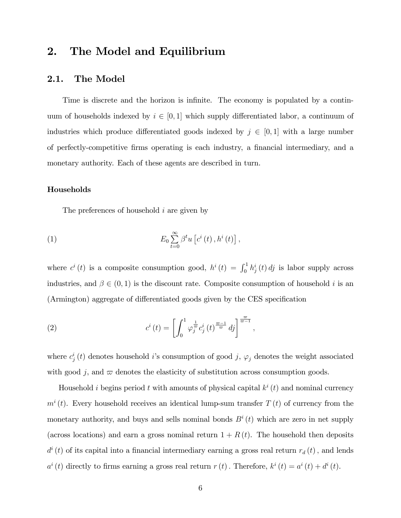## 2. The Model and Equilibrium

#### 2.1. The Model

Time is discrete and the horizon is infinite. The economy is populated by a continuum of households indexed by  $i \in [0, 1]$  which supply differentiated labor, a continuum of industries which produce differentiated goods indexed by  $j \in [0, 1]$  with a large number of perfectly-competitive Örms operating is each industry, a Önancial intermediary, and a monetary authority. Each of these agents are described in turn.

#### Households

The preferences of household *i* are given by

(1) 
$$
E_0 \sum_{t=0}^{\infty} \beta^t u \left[ c^i(t) \, , h^i(t) \right],
$$

where  $c^{i}(t)$  is a composite consumption good,  $h^{i}(t) = \int_{0}^{1} h^{i}(t) dt$  is labor supply across industries, and  $\beta \in (0,1)$  is the discount rate. Composite consumption of household i is an (Armington) aggregate of differentiated goods given by the CES specification

(2) 
$$
c^{i}(t) = \left[\int_{0}^{1} \varphi_{j}^{\frac{1}{\varpi}} c_{j}^{i}(t)^{\frac{\varpi-1}{\varpi}} d j\right]^{\frac{\varpi}{\varpi-1}},
$$

where  $c_j^i(t)$  denotes household *i*'s consumption of good *j*,  $\varphi_j$  denotes the weight associated with good j, and  $\varpi$  denotes the elasticity of substitution across consumption goods.

Household *i* begins period *t* with amounts of physical capital  $k^{i}(t)$  and nominal currency  $m^{i}(t)$ . Every household receives an identical lump-sum transfer  $T(t)$  of currency from the monetary authority, and buys and sells nominal bonds  $B^{i}(t)$  which are zero in net supply (across locations) and earn a gross nominal return  $1 + R(t)$ . The household then deposits  $d^{i}(t)$  of its capital into a financial intermediary earning a gross real return  $r_{d}(t)$ , and lends  $a^{i}(t)$  directly to firms earning a gross real return  $r(t)$ . Therefore,  $k^{i}(t) = a^{i}(t) + d^{i}(t)$ .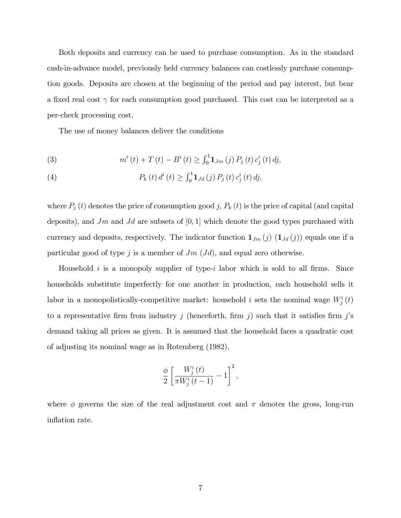Both deposits and currency can be used to purchase consumption. As in the standard cash-in-advance model, previously held currency balances can costlessly purchase consumption goods. Deposits are chosen at the beginning of the period and pay interest, but bear a fixed real cost  $\gamma$  for each consumption good purchased. This cost can be interpreted as a per-check processing cost.

The use of money balances deliver the conditions

(3) 
$$
m^{i}(t) + T(t) - B^{i}(t) \geq \int_{0}^{1} \mathbf{1}_{Jm}(j) P_{j}(t) c_{j}^{i}(t) df,
$$

(4) 
$$
P_k(t) d^i(t) \geq \int_0^1 \mathbf{1}_{Jd}(j) P_j(t) c^i_j(t) d j,
$$

where  $P_j(t)$  denotes the price of consumption good j,  $P_k(t)$  is the price of capital (and capital deposits), and Jm and Jd are subsets of  $[0, 1]$  which denote the good types purchased with currency and deposits, respectively. The indicator function  $\mathbf{1}_{Jm}(j)$   $(\mathbf{1}_{Jd}(j))$  equals one if a particular good of type j is a member of  $Jm$  ( $Jd$ ), and equal zero otherwise.

Household i is a monopoly supplier of type-i labor which is sold to all firms. Since households substitute imperfectly for one another in production, each household sells it labor in a monopolistically-competitive market: household i sets the nominal wage  $W_j^i(t)$ to a representative firm from industry j (henceforth, firm j) such that it satisfies firm j's demand taking all prices as given. It is assumed that the household faces a quadratic cost of adjusting its nominal wage as in Rotemberg (1982),

$$
\frac{\phi}{2} \left[ \frac{W_j^i(t)}{\pi W_j^i(t-1)} - 1 \right]^2,
$$

where  $\phi$  governs the size of the real adjustment cost and  $\pi$  denotes the gross, long-run inflation rate.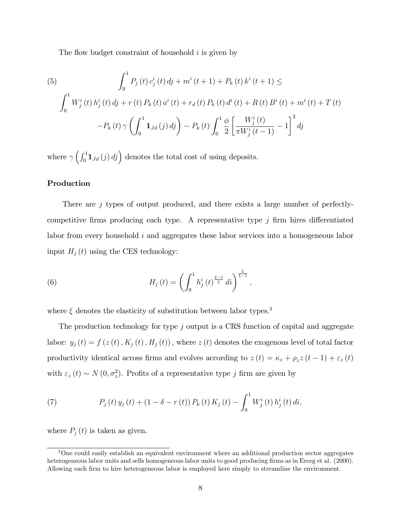The flow budget constraint of household  $i$  is given by

(5)  
\n
$$
\int_0^1 P_j(t) c_j^i(t) dt + m^i(t+1) + P_k(t) k^i(t+1) \le
$$
\n
$$
\int_0^1 W_j^i(t) h_j^i(t) dt + r(t) P_k(t) a^i(t) + r_d(t) P_k(t) d^i(t) + R(t) B^i(t) + m^i(t) + T(t)
$$
\n
$$
-P_k(t) \gamma \left( \int_0^1 \mathbf{1}_{Jd}(j) dj \right) - P_k(t) \int_0^1 \frac{\phi}{2} \left[ \frac{W_j^i(t)}{\pi W_j^i(t-1)} - 1 \right]^2 dj
$$

where  $\gamma\left(\int_0^1 \mathbf{1}_{Jd}(j) \, dj\right)$  denotes the total cost of using deposits.

#### Production

There are j types of output produced, and there exists a large number of perfectlycompetitive firms producing each type. A representative type  $j$  firm hires differentiated labor from every household  $i$  and aggregates these labor services into a homogeneous labor input  $H_j(t)$  using the CES technology:

(6) 
$$
H_j(t) = \left(\int_0^1 h_j^i(t)^{\frac{\xi-1}{\xi}} dt\right)^{\frac{\xi}{\xi-1}},
$$

where  $\xi$  denotes the elasticity of substitution between labor types.<sup>3</sup>

The production technology for type j output is a CRS function of capital and aggregate labor:  $y_j(t) = f(z(t), K_j(t), H_j(t))$ , where  $z(t)$  denotes the exogenous level of total factor productivity identical across firms and evolves according to  $z(t) = \kappa_z + \rho_z z(t-1) + \varepsilon_z(t)$ with  $\varepsilon_z(t) \sim N(0, \sigma_z^2)$ . Profits of a representative type j firm are given by

(7) 
$$
P_j(t) y_j(t) + (1 - \delta - r(t)) P_k(t) K_j(t) - \int_0^1 W_j^i(t) h_j^i(t) dt,
$$

where  $P_i(t)$  is taken as given.

<sup>&</sup>lt;sup>3</sup>One could easily establish an equivalent environment where an additional production sector aggregates heterogeneous labor units and sells homogeneous labor units to good producing firms as in Erceg et al. (2000). Allowing each firm to hire heterogeneous labor is employed here simply to streamline the environment.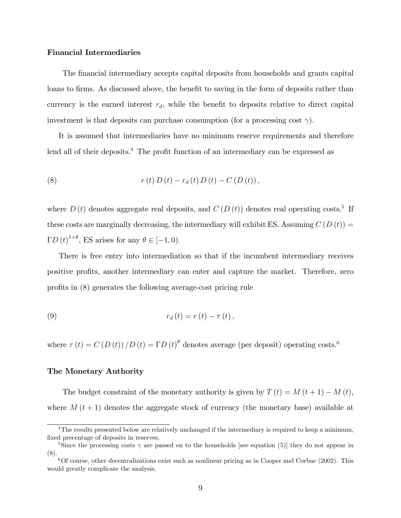#### Financial Intermediaries

The financial intermediary accepts capital deposits from households and grants capital loans to firms. As discussed above, the benefit to saving in the form of deposits rather than currency is the earned interest  $r_d$ , while the benefit to deposits relative to direct capital investment is that deposits can purchase consumption (for a processing cost  $\gamma$ ).

It is assumed that intermediaries have no minimum reserve requirements and therefore lend all of their deposits.<sup>4</sup> The profit function of an intermediary can be expressed as

(8) 
$$
r(t) D(t) - r_d(t) D(t) - C(D(t)),
$$

where  $D(t)$  denotes aggregate real deposits, and  $C(D(t))$  denotes real operating costs.<sup>5</sup> If these costs are marginally decreasing, the intermediary will exhibit ES. Assuming  $C(D(t)) =$  $\Gamma D(t)^{1+\theta}$ , ES arises for any  $\theta \in [-1,0)$ .

There is free entry into intermediation so that if the incumbent intermediary receives positive profits, another intermediary can enter and capture the market. Therefore, zero profits in (8) generates the following average-cost pricing rule

(9) 
$$
r_d(t) = r(t) - \tau(t),
$$

where  $\tau(t) = C(D(t))/D(t) = \Gamma D(t)^{\theta}$  denotes average (per deposit) operating costs.<sup>6</sup>

#### The Monetary Authority

The budget constraint of the monetary authority is given by  $T(t) = M(t+1) - M(t)$ , where  $M(t+1)$  denotes the aggregate stock of currency (the monetary base) available at

<sup>&</sup>lt;sup>4</sup>The results presented below are relatively unchanged if the intermediary is required to keep a minimum, fixed precentage of deposits in reserves.

<sup>&</sup>lt;sup>5</sup>Since the processing costs  $\gamma$  are passed on to the households [see equation (5)] they do not appear in (8).

 $6$ Of course, other decentralizations exist such as nonlinear pricing as in Cooper and Corbae (2002). This would greatly complicate the analysis.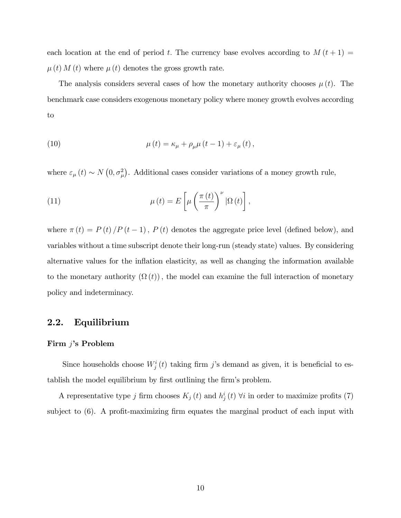each location at the end of period t. The currency base evolves according to  $M(t+1)$  =  $\mu(t) M(t)$  where  $\mu(t)$  denotes the gross growth rate.

The analysis considers several cases of how the monetary authority chooses  $\mu(t)$ . The benchmark case considers exogenous monetary policy where money growth evolves according to

(10) 
$$
\mu(t) = \kappa_{\mu} + \rho_{\mu}\mu(t-1) + \varepsilon_{\mu}(t),
$$

where  $\varepsilon_{\mu}(t) \sim N(0, \sigma_{\mu}^2)$ . Additional cases consider variations of a money growth rule,

(11) 
$$
\mu(t) = E\left[\mu\left(\frac{\pi(t)}{\pi}\right)^{\nu}|\Omega(t)\right],
$$

where  $\pi(t) = P(t)/P(t-1)$ ,  $P(t)$  denotes the aggregate price level (defined below), and variables without a time subscript denote their long-run (steady state) values. By considering alternative values for the inflation elasticity, as well as changing the information available to the monetary authority  $(\Omega(t))$ , the model can examine the full interaction of monetary policy and indeterminacy.

#### 2.2. Equilibrium

#### Firm  $j$ 's Problem

Since households choose  $W_j^i(t)$  taking firm j's demand as given, it is beneficial to establish the model equilibrium by first outlining the firm's problem.

A representative type j firm chooses  $K_j(t)$  and  $h_j^i(t)$   $\forall i$  in order to maximize profits (7) subject to  $(6)$ . A profit-maximizing firm equates the marginal product of each input with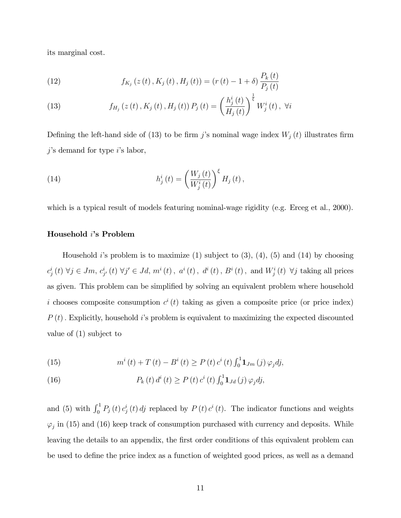its marginal cost.

(12) 
$$
f_{K_j}(z(t), K_j(t), H_j(t)) = (r(t) - 1 + \delta) \frac{P_k(t)}{P_j(t)}
$$

(13) 
$$
f_{H_j}(z(t), K_j(t), H_j(t)) P_j(t) = \left(\frac{h_j^i(t)}{H_j(t)}\right)^{\frac{1}{\xi}} W_j^i(t), \ \forall i
$$

Defining the left-hand side of (13) to be firm j's nominal wage index  $W_j(t)$  illustrates firm  $j$ 's demand for type  $i$ 's labor,

(14) 
$$
h_j^i(t) = \left(\frac{W_j(t)}{W_j^i(t)}\right)^{\xi} H_j(t),
$$

which is a typical result of models featuring nominal-wage rigidity (e.g. Erceg et al., 2000).

#### Household i's Problem

Household *i*'s problem is to maximize  $(1)$  subject to  $(3)$ ,  $(4)$ ,  $(5)$  and  $(14)$  by choosing  $c_j^i(t)$   $\forall j \in Jm$ ,  $c_{j'}^i(t)$   $\forall j' \in Jd$ ,  $m^i(t)$ ,  $a^i(t)$ ,  $d^i(t)$ ,  $B^i(t)$ , and  $W_j^i(t)$   $\forall j$  taking all prices as given. This problem can be simplified by solving an equivalent problem where household i chooses composite consumption  $c^{i}(t)$  taking as given a composite price (or price index)  $P(t)$ . Explicitly, household is problem is equivalent to maximizing the expected discounted value of (1) subject to

(15) 
$$
m^{i}(t) + T(t) - B^{i}(t) \ge P(t) c^{i}(t) \int_{0}^{1} \mathbf{1}_{Jm}(j) \varphi_{j} d j,
$$

(16) 
$$
P_k(t) d^i(t) \ge P(t) c^i(t) \int_0^1 \mathbf{1}_{Jd}(j) \varphi_j dj,
$$

and (5) with  $\int_0^1 P_j(t) c_j^i(t) dt$  replaced by  $P(t) c_i(t)$ . The indicator functions and weights  $\varphi_j$  in (15) and (16) keep track of consumption purchased with currency and deposits. While leaving the details to an appendix, the first order conditions of this equivalent problem can be used to define the price index as a function of weighted good prices, as well as a demand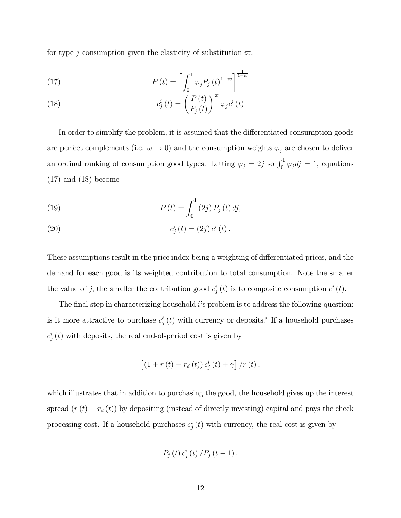for type j consumption given the elasticity of substitution  $\varpi$ .

(17) 
$$
P(t) = \left[ \int_0^1 \varphi_j P_j(t)^{1-\varpi} \right]^{\frac{1}{1-\varpi}}
$$

(18) 
$$
c_j^i(t) = \left(\frac{P(t)}{P_j(t)}\right)^{\omega} \varphi_j c^i(t)
$$

In order to simplify the problem, it is assumed that the differentiated consumption goods are perfect complements (i.e.  $\omega \to 0$ ) and the consumption weights  $\varphi_j$  are chosen to deliver an ordinal ranking of consumption good types. Letting  $\varphi_j = 2j$  so  $\int_0^1 \varphi_j dj = 1$ , equations  $(17)$  and  $(18)$  become

(19) 
$$
P(t) = \int_0^1 (2j) P_j(t) \, dj,
$$

(20) 
$$
c_j^i(t) = (2j) c^i(t).
$$

These assumptions result in the price index being a weighting of differentiated prices, and the demand for each good is its weighted contribution to total consumption. Note the smaller the value of j, the smaller the contribution good  $c_j^i(t)$  is to composite consumption  $c^i(t)$ .

The final step in characterizing household  $i$ 's problem is to address the following question: is it more attractive to purchase  $c_j^i(t)$  with currency or deposits? If a household purchases  $c_j^i(t)$  with deposits, the real end-of-period cost is given by

$$
\left[\left(1+r\left(t\right)-r_{d}\left(t\right)\right)c_{j}^{i}\left(t\right)+\gamma\right]/r\left(t\right),\right.
$$

which illustrates that in addition to purchasing the good, the household gives up the interest spread  $(r(t) - r_d(t))$  by depositing (instead of directly investing) capital and pays the check processing cost. If a household purchases  $c_j^i(t)$  with currency, the real cost is given by

$$
P_j(t) c_j^i(t) / P_j(t-1)
$$
,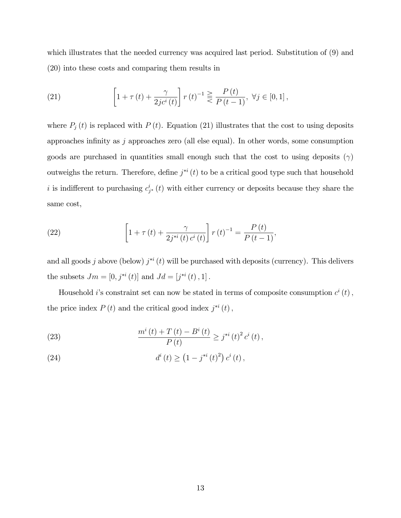which illustrates that the needed currency was acquired last period. Substitution of  $(9)$  and (20) into these costs and comparing them results in

(21) 
$$
\[1 + \tau(t) + \frac{\gamma}{2jc^{i}(t)}\] r(t)^{-1} \geq \frac{P(t)}{P(t-1)}, \ \forall j \in [0,1],
$$

where  $P_j(t)$  is replaced with  $P(t)$ . Equation (21) illustrates that the cost to using deposits approaches infinity as  $j$  approaches zero (all else equal). In other words, some consumption goods are purchased in quantities small enough such that the cost to using deposits  $(\gamma)$ outweighs the return. Therefore, define  $j^{*i}(t)$  to be a critical good type such that household i is indifferent to purchasing  $c_{j^*}^i(t)$  with either currency or deposits because they share the same cost,

(22) 
$$
\left[1 + \tau(t) + \frac{\gamma}{2j^{*i}(t) c^i(t)}\right] r(t)^{-1} = \frac{P(t)}{P(t-1)},
$$

and all goods j above (below)  $j^{*i}(t)$  will be purchased with deposits (currency). This delivers the subsets  $Jm = [0, j^{*i}(t)]$  and  $Jd = [j^{*i}(t), 1]$ .

Household *i*'s constraint set can now be stated in terms of composite consumption  $c^{i}(t)$ , the price index  $P(t)$  and the critical good index  $j^{*i}(t)$ ,

(23) 
$$
\frac{m^{i}(t) + T(t) - B^{i}(t)}{P(t)} \geq j^{*i}(t)^{2} c^{i}(t),
$$

(24) 
$$
d^{i}(t) \geq (1 - j^{*i}(t)^{2}) c^{i}(t),
$$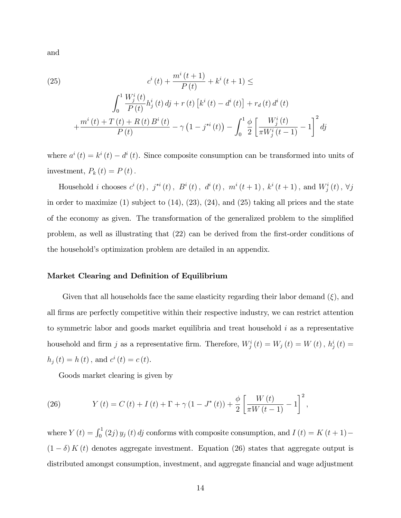and

(25)  

$$
c^{i}(t) + \frac{m^{i}(t+1)}{P(t)} + k^{i}(t+1) \le
$$

$$
\int_{0}^{1} \frac{W_{j}^{i}(t)}{P(t)} h_{j}^{i}(t) dt + r(t) [k^{i}(t) - d^{i}(t)] + r_{d}(t) d^{i}(t)
$$

$$
+ \frac{m^{i}(t) + T(t) + R(t) B^{i}(t)}{P(t)} - \gamma (1 - j^{*i}(t)) - \int_{0}^{1} \frac{\phi}{2} \left[ \frac{W_{j}^{i}(t)}{\pi W_{j}^{i}(t-1)} - 1 \right]^{2} dj
$$

where  $a^{i}(t) = k^{i}(t) - d^{i}(t)$ . Since composite consumption can be transformed into units of investment,  $P_k(t) = P(t)$ .

Household *i* chooses  $c^{i}(t)$ ,  $j^{*i}(t)$ ,  $B^{i}(t)$ ,  $d^{i}(t)$ ,  $m^{i}(t+1)$ ,  $k^{i}(t+1)$ , and  $W_{j}^{i}(t)$ ,  $\forall j$ in order to maximize  $(1)$  subject to  $(14)$ ,  $(23)$ ,  $(24)$ , and  $(25)$  taking all prices and the state of the economy as given. The transformation of the generalized problem to the simplified problem, as well as illustrating that  $(22)$  can be derived from the first-order conditions of the household's optimization problem are detailed in an appendix.

#### Market Clearing and Definition of Equilibrium

Given that all households face the same elasticity regarding their labor demand  $(\xi)$ , and all Örms are perfectly competitive within their respective industry, we can restrict attention to symmetric labor and goods market equilibria and treat household  $i$  as a representative household and firm j as a representative firm. Therefore,  $W_j^i(t) = W_j(t) = W(t)$ ,  $h_j^i(t) =$  $h_j(t) = h(t)$ , and  $c^i(t) = c(t)$ .

Goods market clearing is given by

(26) 
$$
Y(t) = C(t) + I(t) + \Gamma + \gamma (1 - J^*(t)) + \frac{\phi}{2} \left[ \frac{W(t)}{\pi W(t-1)} - 1 \right]^2,
$$

where  $Y(t) = \int_0^1 (2j) y_j(t) dt$  conforms with composite consumption, and  $I(t) = K(t+1)$  $(1 - \delta) K(t)$  denotes aggregate investment. Equation (26) states that aggregate output is distributed amongst consumption, investment, and aggregate financial and wage adjustment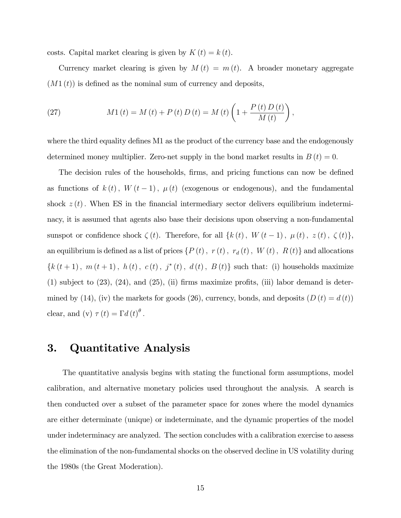costs. Capital market clearing is given by  $K(t) = k(t)$ .

Currency market clearing is given by  $M(t) = m(t)$ . A broader monetary aggregate  $(M1(t))$  is defined as the nominal sum of currency and deposits,

(27) 
$$
M1(t) = M(t) + P(t) D(t) = M(t) \left( 1 + \frac{P(t) D(t)}{M(t)} \right),
$$

where the third equality defines M1 as the product of the currency base and the endogenously determined money multiplier. Zero-net supply in the bond market results in  $B(t) = 0$ .

The decision rules of the households, firms, and pricing functions can now be defined as functions of  $k(t)$ ,  $W(t-1)$ ,  $\mu(t)$  (exogenous or endogenous), and the fundamental shock  $z(t)$ . When ES in the financial intermediary sector delivers equilibrium indeterminacy, it is assumed that agents also base their decisions upon observing a non-fundamental sunspot or confidence shock  $\zeta(t)$ . Therefore, for all  $\{k(t), W(t-1), \mu(t), z(t), \zeta(t)\},$ an equilibrium is defined as a list of prices  $\{P(t), r(t), r_d(t), W(t), R(t)\}\$  and allocations  ${k(t + 1), m(t + 1), h(t), c(t), j^*(t), d(t), B(t)}$  such that: (i) households maximize  $(1)$  subject to  $(23)$ ,  $(24)$ , and  $(25)$ ,  $(ii)$  firms maximize profits,  $(iii)$  labor demand is determined by (14), (iv) the markets for goods (26), currency, bonds, and deposits  $(D(t) = d(t))$ clear, and (v)  $\tau(t) = \Gamma d(t)^{\theta}$ .

### 3. Quantitative Analysis

The quantitative analysis begins with stating the functional form assumptions, model calibration, and alternative monetary policies used throughout the analysis. A search is then conducted over a subset of the parameter space for zones where the model dynamics are either determinate (unique) or indeterminate, and the dynamic properties of the model under indeterminacy are analyzed. The section concludes with a calibration exercise to assess the elimination of the non-fundamental shocks on the observed decline in US volatility during the 1980s (the Great Moderation).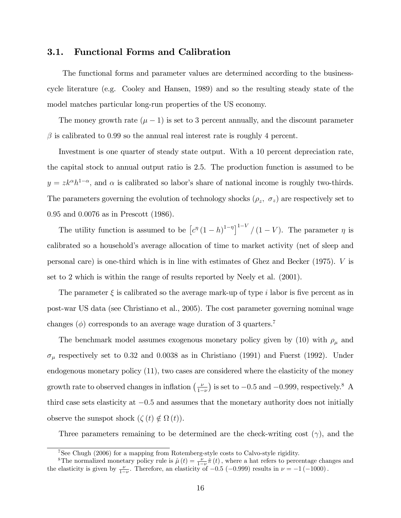#### 3.1. Functional Forms and Calibration

The functional forms and parameter values are determined according to the businesscycle literature (e.g. Cooley and Hansen, 1989) and so the resulting steady state of the model matches particular long-run properties of the US economy.

The money growth rate  $(\mu - 1)$  is set to 3 percent annually, and the discount parameter  $\beta$  is calibrated to 0.99 so the annual real interest rate is roughly 4 percent.

Investment is one quarter of steady state output. With a 10 percent depreciation rate, the capital stock to annual output ratio is 2.5. The production function is assumed to be  $y = zk^{\alpha}h^{1-\alpha}$ , and  $\alpha$  is calibrated so labor's share of national income is roughly two-thirds. The parameters governing the evolution of technology shocks  $(\rho_z, \sigma_z)$  are respectively set to 0:95 and 0:0076 as in Prescott (1986).

The utility function is assumed to be  $\left[c^{\eta}(1-h)^{1-\eta}\right]^{1-V}/(1-V)$ . The parameter  $\eta$  is calibrated so a household's average allocation of time to market activity (net of sleep and personal care) is one-third which is in line with estimates of Ghez and Becker (1975). V is set to 2 which is within the range of results reported by Neely et al. (2001).

The parameter  $\xi$  is calibrated so the average mark-up of type i labor is five percent as in post-war US data (see Christiano et al., 2005). The cost parameter governing nominal wage changes  $(\phi)$  corresponds to an average wage duration of 3 quarters.<sup>7</sup>

The benchmark model assumes exogenous monetary policy given by (10) with  $\rho_\mu$  and  $\sigma_{\mu}$  respectively set to 0.32 and 0.0038 as in Christiano (1991) and Fuerst (1992). Under endogenous monetary policy (11), two cases are considered where the elasticity of the money growth rate to observed changes in inflation  $\left(\frac{\nu}{1-\nu}\right)$  is set to  $-0.5$  and  $-0.999$ , respectively.<sup>8</sup> A third case sets elasticity at  $-0.5$  and assumes that the monetary authority does not initially observe the sunspot shock  $(\zeta(t) \notin \Omega(t)).$ 

Three parameters remaining to be determined are the check-writing cost  $(\gamma)$ , and the

<sup>7</sup>See Chugh (2006) for a mapping from Rotemberg-style costs to Calvo-style rigidity.

<sup>&</sup>lt;sup>8</sup>The normalized monetary policy rule is  $\hat{\mu}(t) = \frac{\nu}{1-\nu}\hat{\pi}(t)$ , where a hat refers to percentage changes and the elasticity is given by  $\frac{\nu}{1-\nu}$ . Therefore, an elasticity of -0.5 (-0.999) results in  $\nu = -1$  (-1000).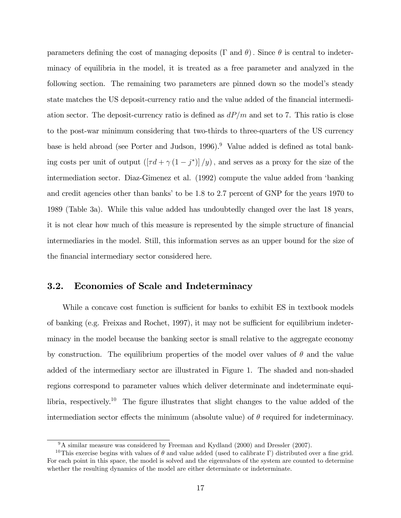parameters defining the cost of managing deposits ( $\Gamma$  and  $\theta$ ). Since  $\theta$  is central to indeterminacy of equilibria in the model, it is treated as a free parameter and analyzed in the following section. The remaining two parameters are pinned down so the model's steady state matches the US deposit-currency ratio and the value added of the financial intermediation sector. The deposit-currency ratio is defined as  $dP/m$  and set to 7. This ratio is close to the post-war minimum considering that two-thirds to three-quarters of the US currency base is held abroad (see Porter and Judson,  $1996$ ).<sup>9</sup> Value added is defined as total banking costs per unit of output  $\left(\left[\tau d + \gamma (1-j^*)\right]/y\right)$ , and serves as a proxy for the size of the intermediation sector. Diaz-Gimenez et al. (1992) compute the value added from ëbanking and credit agencies other than banks' to be 1.8 to 2.7 percent of GNP for the years 1970 to 1989 (Table 3a). While this value added has undoubtedly changed over the last 18 years, it is not clear how much of this measure is represented by the simple structure of financial intermediaries in the model. Still, this information serves as an upper bound for the size of the financial intermediary sector considered here.

#### 3.2. Economies of Scale and Indeterminacy

While a concave cost function is sufficient for banks to exhibit ES in textbook models of banking (e.g. Freixas and Rochet, 1997), it may not be sufficient for equilibrium indeterminacy in the model because the banking sector is small relative to the aggregate economy by construction. The equilibrium properties of the model over values of  $\theta$  and the value added of the intermediary sector are illustrated in Figure 1. The shaded and non-shaded regions correspond to parameter values which deliver determinate and indeterminate equilibria, respectively.<sup>10</sup> The figure illustrates that slight changes to the value added of the intermediation sector effects the minimum (absolute value) of  $\theta$  required for indeterminacy.

<sup>&</sup>lt;sup>9</sup>A similar measure was considered by Freeman and Kydland (2000) and Dressler (2007).

<sup>&</sup>lt;sup>10</sup>This exercise begins with values of  $\theta$  and value added (used to calibrate  $\Gamma$ ) distributed over a fine grid. For each point in this space, the model is solved and the eigenvalues of the system are counted to determine whether the resulting dynamics of the model are either determinate or indeterminate.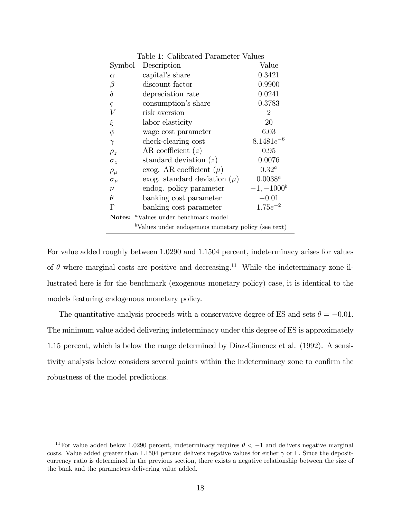| Table 1: Calibrated Parameter Values                   |                                      |                |  |  |  |
|--------------------------------------------------------|--------------------------------------|----------------|--|--|--|
| Symbol                                                 | Description                          | Value          |  |  |  |
| $\alpha$                                               | capital's share                      | 0.3421         |  |  |  |
| β                                                      | discount factor                      | 0.9900         |  |  |  |
| $\delta$                                               | depreciation rate                    | 0.0241         |  |  |  |
| $\varsigma$                                            | consumption's share                  | 0.3783         |  |  |  |
| $\boldsymbol{V}$                                       | risk aversion                        | 2              |  |  |  |
| ξ                                                      | labor elasticity                     | 20             |  |  |  |
| $\phi$                                                 | wage cost parameter                  | 6.03           |  |  |  |
| $\gamma$                                               | check-clearing cost                  | $8.1481e^{-6}$ |  |  |  |
| $\rho_z$                                               | AR coefficient $(z)$                 | 0.95           |  |  |  |
| $\sigma_z$                                             | standard deviation $(z)$             | 0.0076         |  |  |  |
| $\rho_\mu$                                             | exog. AR coefficient $(\mu)$         | $0.32^a$       |  |  |  |
| $\sigma_{\mu}$                                         | exog. standard deviation $(\mu)$     | $0.0038^a$     |  |  |  |
| $\nu$                                                  | endog. policy parameter              | $-1, -1000^b$  |  |  |  |
| $\theta$                                               | banking cost parameter               | $-0.01$        |  |  |  |
| Г                                                      | banking cost parameter               | $1.75e^{-2}$   |  |  |  |
|                                                        | Notes: "Values under benchmark model |                |  |  |  |
| $b$ Values under endogenous monetary policy (see text) |                                      |                |  |  |  |

For value added roughly between 1:0290 and 1:1504 percent, indeterminacy arises for values of  $\theta$  where marginal costs are positive and decreasing.<sup>11</sup> While the indeterminacy zone illustrated here is for the benchmark (exogenous monetary policy) case, it is identical to the models featuring endogenous monetary policy.

The quantitative analysis proceeds with a conservative degree of ES and sets  $\theta = -0.01$ . The minimum value added delivering indeterminacy under this degree of ES is approximately 1:15 percent, which is below the range determined by Diaz-Gimenez et al. (1992). A sensitivity analysis below considers several points within the indeterminacy zone to confirm the robustness of the model predictions.

<sup>&</sup>lt;sup>11</sup>For value added below 1.0290 percent, indeterminacy requires  $\theta < -1$  and delivers negative marginal costs. Value added greater than 1.1504 percent delivers negative values for either  $\gamma$  or  $\Gamma$ . Since the depositcurrency ratio is determined in the previous section, there exists a negative relationship between the size of the bank and the parameters delivering value added.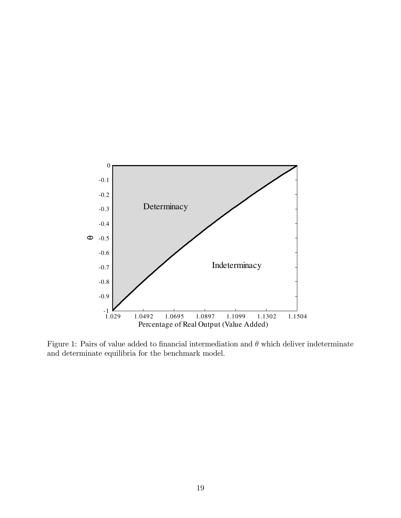

Figure 1: Pairs of value added to financial intermediation and  $\theta$  which deliver indeterminate and determinate equilibria for the benchmark model.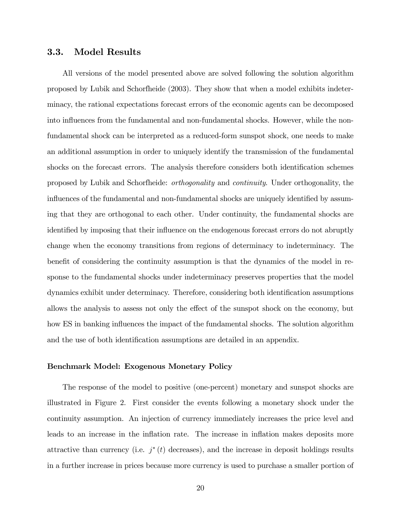#### 3.3. Model Results

All versions of the model presented above are solved following the solution algorithm proposed by Lubik and Schorfheide (2003). They show that when a model exhibits indeterminacy, the rational expectations forecast errors of the economic agents can be decomposed into influences from the fundamental and non-fundamental shocks. However, while the nonfundamental shock can be interpreted as a reduced-form sunspot shock, one needs to make an additional assumption in order to uniquely identify the transmission of the fundamental shocks on the forecast errors. The analysis therefore considers both identification schemes proposed by Lubik and Schorfheide: orthogonality and continuity. Under orthogonality, the influences of the fundamental and non-fundamental shocks are uniquely identified by assuming that they are orthogonal to each other. Under continuity, the fundamental shocks are identified by imposing that their influence on the endogenous forecast errors do not abruptly change when the economy transitions from regions of determinacy to indeterminacy. The benefit of considering the continuity assumption is that the dynamics of the model in response to the fundamental shocks under indeterminacy preserves properties that the model dynamics exhibit under determinacy. Therefore, considering both identification assumptions allows the analysis to assess not only the effect of the sunspot shock on the economy, but how ES in banking influences the impact of the fundamental shocks. The solution algorithm and the use of both identification assumptions are detailed in an appendix.

#### Benchmark Model: Exogenous Monetary Policy

The response of the model to positive (one-percent) monetary and sunspot shocks are illustrated in Figure 2. First consider the events following a monetary shock under the continuity assumption. An injection of currency immediately increases the price level and leads to an increase in the inflation rate. The increase in inflation makes deposits more attractive than currency (i.e.  $j^*(t)$  decreases), and the increase in deposit holdings results in a further increase in prices because more currency is used to purchase a smaller portion of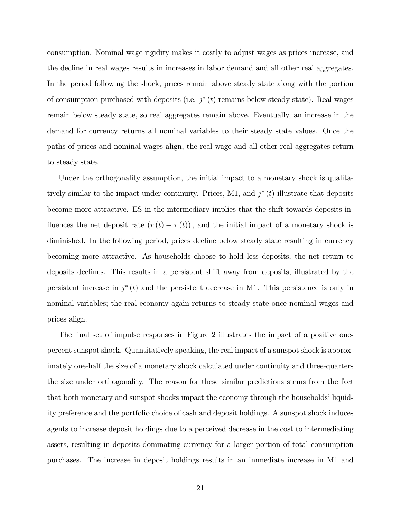consumption. Nominal wage rigidity makes it costly to adjust wages as prices increase, and the decline in real wages results in increases in labor demand and all other real aggregates. In the period following the shock, prices remain above steady state along with the portion of consumption purchased with deposits (i.e.  $j^*(t)$  remains below steady state). Real wages remain below steady state, so real aggregates remain above. Eventually, an increase in the demand for currency returns all nominal variables to their steady state values. Once the paths of prices and nominal wages align, the real wage and all other real aggregates return to steady state.

Under the orthogonality assumption, the initial impact to a monetary shock is qualitatively similar to the impact under continuity. Prices, M1, and  $j^*(t)$  illustrate that deposits become more attractive. ES in the intermediary implies that the shift towards deposits influences the net deposit rate  $(r(t) - \tau(t))$ , and the initial impact of a monetary shock is diminished. In the following period, prices decline below steady state resulting in currency becoming more attractive. As households choose to hold less deposits, the net return to deposits declines. This results in a persistent shift away from deposits, illustrated by the persistent increase in  $j^*(t)$  and the persistent decrease in M1. This persistence is only in nominal variables; the real economy again returns to steady state once nominal wages and prices align.

The final set of impulse responses in Figure 2 illustrates the impact of a positive onepercent sunspot shock. Quantitatively speaking, the real impact of a sunspot shock is approximately one-half the size of a monetary shock calculated under continuity and three-quarters the size under orthogonality. The reason for these similar predictions stems from the fact that both monetary and sunspot shocks impact the economy through the households' liquidity preference and the portfolio choice of cash and deposit holdings. A sunspot shock induces agents to increase deposit holdings due to a perceived decrease in the cost to intermediating assets, resulting in deposits dominating currency for a larger portion of total consumption purchases. The increase in deposit holdings results in an immediate increase in M1 and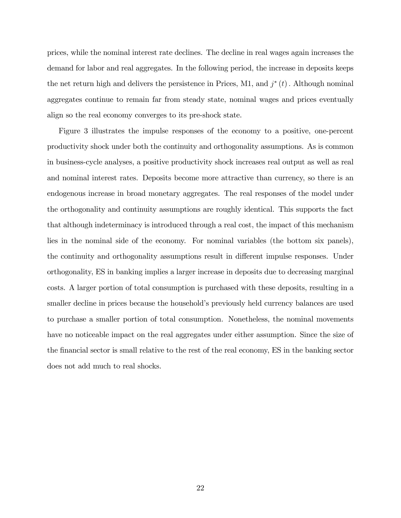prices, while the nominal interest rate declines. The decline in real wages again increases the demand for labor and real aggregates. In the following period, the increase in deposits keeps the net return high and delivers the persistence in Prices, M1, and  $j^*(t)$ . Although nominal aggregates continue to remain far from steady state, nominal wages and prices eventually align so the real economy converges to its pre-shock state.

Figure 3 illustrates the impulse responses of the economy to a positive, one-percent productivity shock under both the continuity and orthogonality assumptions. As is common in business-cycle analyses, a positive productivity shock increases real output as well as real and nominal interest rates. Deposits become more attractive than currency, so there is an endogenous increase in broad monetary aggregates. The real responses of the model under the orthogonality and continuity assumptions are roughly identical. This supports the fact that although indeterminacy is introduced through a real cost, the impact of this mechanism lies in the nominal side of the economy. For nominal variables (the bottom six panels), the continuity and orthogonality assumptions result in different impulse responses. Under orthogonality, ES in banking implies a larger increase in deposits due to decreasing marginal costs. A larger portion of total consumption is purchased with these deposits, resulting in a smaller decline in prices because the household's previously held currency balances are used to purchase a smaller portion of total consumption. Nonetheless, the nominal movements have no noticeable impact on the real aggregates under either assumption. Since the size of the Önancial sector is small relative to the rest of the real economy, ES in the banking sector does not add much to real shocks.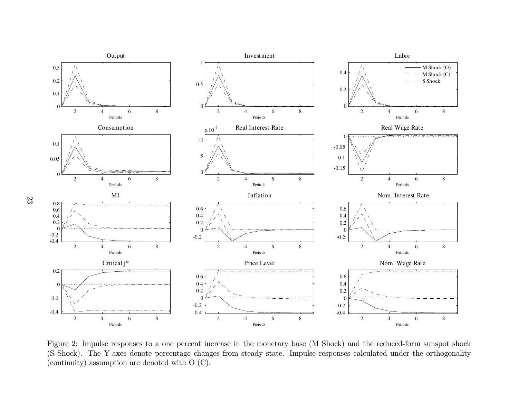

Figure 2: Impulse responses to <sup>a</sup> one percent increase in the monetary base (M Shock) and the reduced-form sunspot shock (S Shock). The Y-axes denote percentage changes from steady state. Impulse responses calculated under the orthogonality (continuity) assumption are denoted with <sup>O</sup> (C).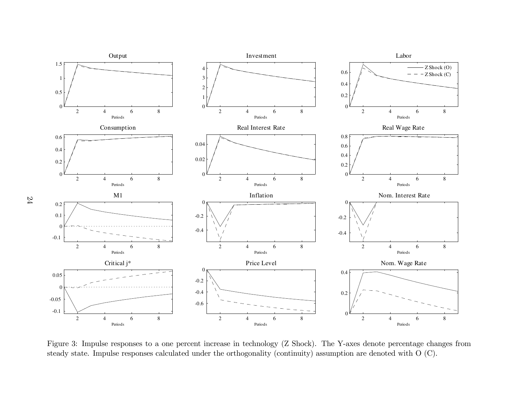

Figure 3: Impulse responses to <sup>a</sup> one percent increase in technology (Z Shock). The Y-axes denote percentage changes fromsteady state. Impulse responses calculated under the orthogonality (continuity) assumption are denoted with <sup>O</sup> (C).

24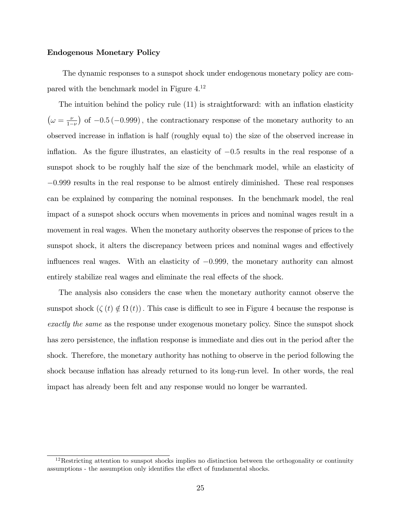#### Endogenous Monetary Policy

The dynamic responses to a sunspot shock under endogenous monetary policy are compared with the benchmark model in Figure 4.<sup>12</sup>

The intuition behind the policy rule  $(11)$  is straightforward: with an inflation elasticity  $(\omega = \frac{\nu}{1-\nu})$  of  $-0.5$  (-0.999), the contractionary response of the monetary authority to an observed increase in ináation is half (roughly equal to) the size of the observed increase in inflation. As the figure illustrates, an elasticity of  $-0.5$  results in the real response of a sunspot shock to be roughly half the size of the benchmark model, while an elasticity of  $-0.999$  results in the real response to be almost entirely diminished. These real responses can be explained by comparing the nominal responses. In the benchmark model, the real impact of a sunspot shock occurs when movements in prices and nominal wages result in a movement in real wages. When the monetary authority observes the response of prices to the sunspot shock, it alters the discrepancy between prices and nominal wages and effectively influences real wages. With an elasticity of  $-0.999$ , the monetary authority can almost entirely stabilize real wages and eliminate the real effects of the shock.

The analysis also considers the case when the monetary authority cannot observe the sunspot shock  $(\zeta(t) \notin \Omega(t))$ . This case is difficult to see in Figure 4 because the response is exactly the same as the response under exogenous monetary policy. Since the sunspot shock has zero persistence, the inflation response is immediate and dies out in the period after the shock. Therefore, the monetary authority has nothing to observe in the period following the shock because inflation has already returned to its long-run level. In other words, the real impact has already been felt and any response would no longer be warranted.

 $12$ Restricting attention to sunspot shocks implies no distinction between the orthogonality or continuity assumptions - the assumption only identifies the effect of fundamental shocks.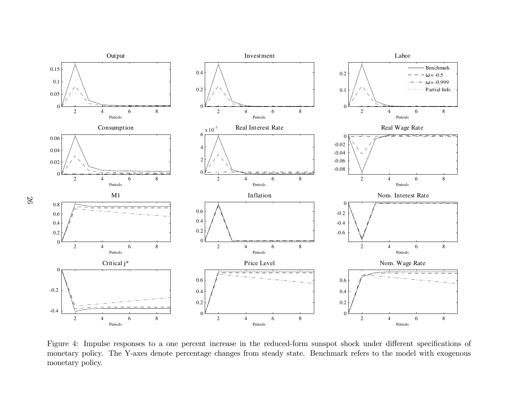

Figure 4: Impulse responses to a one percent increase in the reduced-form sunspot shock under different specifications of monetary policy. The Y-axes denote percentage changes from steady state. Benchmark refers to the model with exogenous<br>monetary policy. monetary policy.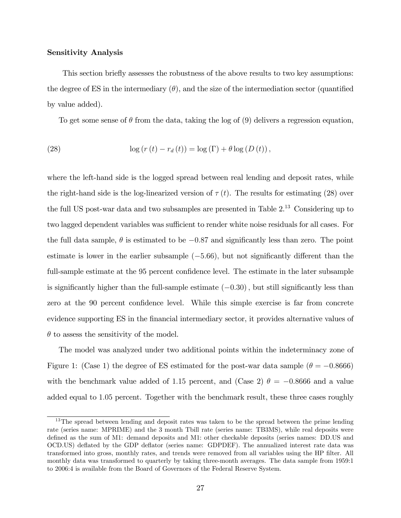#### Sensitivity Analysis

This section briefly assesses the robustness of the above results to two key assumptions: the degree of ES in the intermediary  $(\theta)$ , and the size of the intermediation sector (quantified by value added).

To get some sense of  $\theta$  from the data, taking the log of (9) delivers a regression equation,

(28) 
$$
\log (r(t) - r_d(t)) = \log (\Gamma) + \theta \log (D(t)),
$$

where the left-hand side is the logged spread between real lending and deposit rates, while the right-hand side is the log-linearized version of  $\tau(t)$ . The results for estimating (28) over the full US post-war data and two subsamples are presented in Table 2.<sup>13</sup> Considering up to two lagged dependent variables was sufficient to render white noise residuals for all cases. For the full data sample,  $\theta$  is estimated to be  $-0.87$  and significantly less than zero. The point estimate is lower in the earlier subsample  $(-5.66)$ , but not significantly different than the full-sample estimate at the 95 percent confidence level. The estimate in the later subsample is significantly higher than the full-sample estimate  $(-0.30)$ , but still significantly less than zero at the 90 percent confidence level. While this simple exercise is far from concrete evidence supporting ES in the financial intermediary sector, it provides alternative values of  $\theta$  to assess the sensitivity of the model.

The model was analyzed under two additional points within the indeterminacy zone of Figure 1: (Case 1) the degree of ES estimated for the post-war data sample ( $\theta = -0.8666$ ) with the benchmark value added of 1.15 percent, and (Case 2)  $\theta = -0.8666$  and a value added equal to 1.05 percent. Together with the benchmark result, these three cases roughly

<sup>&</sup>lt;sup>13</sup>The spread between lending and deposit rates was taken to be the spread between the prime lending rate (series name: MPRIME) and the 3 month Tbill rate (series name: TB3MS), while real deposits were defined as the sum of M1: demand deposits and M1: other checkable deposits (series names: DD.US and OCD.US) deáated by the GDP deáator (series name: GDPDEF). The annualized interest rate data was transformed into gross, monthly rates, and trends were removed from all variables using the HP filter. All monthly data was transformed to quarterly by taking three-month averages. The data sample from 1959:1 to 2006:4 is available from the Board of Governors of the Federal Reserve System.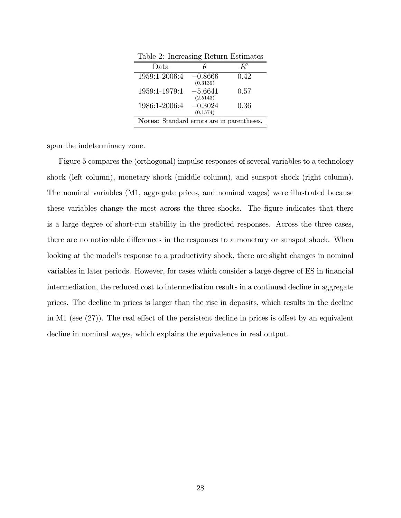| Table 2: Increasing Return Estimates              |                       |       |  |  |  |
|---------------------------------------------------|-----------------------|-------|--|--|--|
| Data.                                             |                       | $R^2$ |  |  |  |
| 1959:1-2006:4                                     | $-0.8666$<br>(0.3139) | 0.42  |  |  |  |
| 1959:1-1979:1                                     | $-5.6641$<br>(2.5143) | 0.57  |  |  |  |
| 1986:1-2006:4                                     | $-0.3024$<br>(0.1574) | 0.36  |  |  |  |
| <b>Notes:</b> Standard errors are in parentheses. |                       |       |  |  |  |

Table 2: Increasing Return Estimates

span the indeterminacy zone.

Figure 5 compares the (orthogonal) impulse responses of several variables to a technology shock (left column), monetary shock (middle column), and sunspot shock (right column). The nominal variables (M1, aggregate prices, and nominal wages) were illustrated because these variables change the most across the three shocks. The figure indicates that there is a large degree of short-run stability in the predicted responses. Across the three cases, there are no noticeable differences in the responses to a monetary or sunspot shock. When looking at the model's response to a productivity shock, there are slight changes in nominal variables in later periods. However, for cases which consider a large degree of ES in financial intermediation, the reduced cost to intermediation results in a continued decline in aggregate prices. The decline in prices is larger than the rise in deposits, which results in the decline in M1 (see  $(27)$ ). The real effect of the persistent decline in prices is offset by an equivalent decline in nominal wages, which explains the equivalence in real output.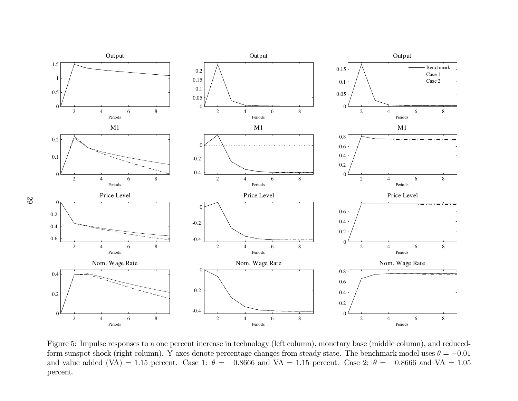

Figure 5: Impulse responses to <sup>a</sup> one percent increase in technology (left column), monetary base (middle column), and reducedform sunspot shock (right column). Y-axes denote percentage changes from steady state. The benchmark model uses  $\theta = -0.01$ and value added (VA) = 1.15 percent. Case 1:  $\theta = -0.8666$  and VA = 1.15 percent. Case 2:  $\theta = -0.8666$  and VA = 1.05 percent.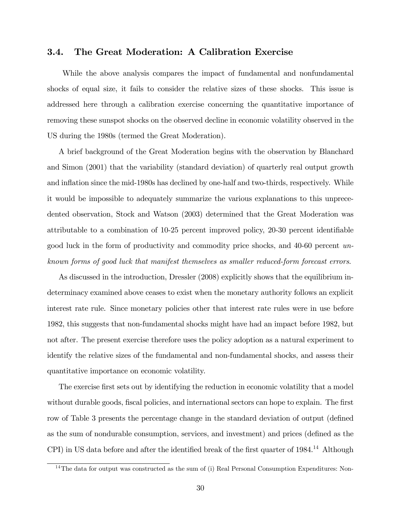#### 3.4. The Great Moderation: A Calibration Exercise

While the above analysis compares the impact of fundamental and nonfundamental shocks of equal size, it fails to consider the relative sizes of these shocks. This issue is addressed here through a calibration exercise concerning the quantitative importance of removing these sunspot shocks on the observed decline in economic volatility observed in the US during the 1980s (termed the Great Moderation).

A brief background of the Great Moderation begins with the observation by Blanchard and Simon (2001) that the variability (standard deviation) of quarterly real output growth and inflation since the mid-1980s has declined by one-half and two-thirds, respectively. While it would be impossible to adequately summarize the various explanations to this unprecedented observation, Stock and Watson (2003) determined that the Great Moderation was attributable to a combination of  $10-25$  percent improved policy,  $20-30$  percent identifiable good luck in the form of productivity and commodity price shocks, and 40-60 percent unknown forms of good luck that manifest themselves as smaller reduced-form forecast errors.

As discussed in the introduction, Dressler (2008) explicitly shows that the equilibrium indeterminacy examined above ceases to exist when the monetary authority follows an explicit interest rate rule. Since monetary policies other that interest rate rules were in use before 1982, this suggests that non-fundamental shocks might have had an impact before 1982, but not after. The present exercise therefore uses the policy adoption as a natural experiment to identify the relative sizes of the fundamental and non-fundamental shocks, and assess their quantitative importance on economic volatility.

The exercise first sets out by identifying the reduction in economic volatility that a model without durable goods, fiscal policies, and international sectors can hope to explain. The first row of Table 3 presents the percentage change in the standard deviation of output (defined as the sum of nondurable consumption, services, and investment) and prices (defined as the CPI) in US data before and after the identified break of the first quarter of  $1984<sup>14</sup>$  Although

 $14$ The data for output was constructed as the sum of (i) Real Personal Consumption Expenditures: Non-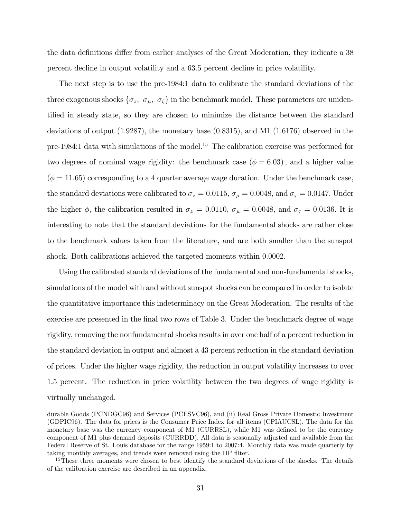the data definitions differ from earlier analyses of the Great Moderation, they indicate a 38 percent decline in output volatility and a 63.5 percent decline in price volatility.

The next step is to use the pre-1984:1 data to calibrate the standard deviations of the three exogenous shocks  $\{\sigma_z, \sigma_{\mu}, \sigma_{\zeta}\}\$  in the benchmark model. These parameters are unidentified in steady state, so they are chosen to minimize the distance between the standard deviations of output  $(1.9287)$ , the monetary base  $(0.8315)$ , and M1  $(1.6176)$  observed in the pre-1984:1 data with simulations of the model.<sup>15</sup> The calibration exercise was performed for two degrees of nominal wage rigidity: the benchmark case ( $\phi = 6.03$ ), and a higher value  $(\phi = 11.65)$  corresponding to a 4 quarter average wage duration. Under the benchmark case, the standard deviations were calibrated to  $\sigma_z = 0.0115$ ,  $\sigma_{\mu} = 0.0048$ , and  $\sigma_{\varsigma} = 0.0147$ . Under the higher  $\phi$ , the calibration resulted in  $\sigma_z = 0.0110$ ,  $\sigma_{\mu} = 0.0048$ , and  $\sigma_{\varsigma} = 0.0136$ . It is interesting to note that the standard deviations for the fundamental shocks are rather close to the benchmark values taken from the literature, and are both smaller than the sunspot shock. Both calibrations achieved the targeted moments within 0.0002.

Using the calibrated standard deviations of the fundamental and non-fundamental shocks, simulations of the model with and without sunspot shocks can be compared in order to isolate the quantitative importance this indeterminacy on the Great Moderation. The results of the exercise are presented in the final two rows of Table 3. Under the benchmark degree of wage rigidity, removing the nonfundamental shocks results in over one half of a percent reduction in the standard deviation in output and almost a 43 percent reduction in the standard deviation of prices. Under the higher wage rigidity, the reduction in output volatility increases to over 1.5 percent. The reduction in price volatility between the two degrees of wage rigidity is virtually unchanged.

durable Goods (PCNDGC96) and Services (PCESVC96), and (ii) Real Gross Private Domestic Investment (GDPIC96). The data for prices is the Consumer Price Index for all items (CPIAUCSL). The data for the monetary base was the currency component of M1 (CURRSL), while M1 was defined to be the currency component of M1 plus demand deposits (CURRDD). All data is seasonally adjusted and available from the Federal Reserve of St. Louis database for the range 1959:1 to 2007:4. Monthly data was made quarterly by taking monthly averages, and trends were removed using the HP filter.

<sup>&</sup>lt;sup>15</sup>These three moments were chosen to best identify the standard deviations of the shocks. The details of the calibration exercise are described in an appendix.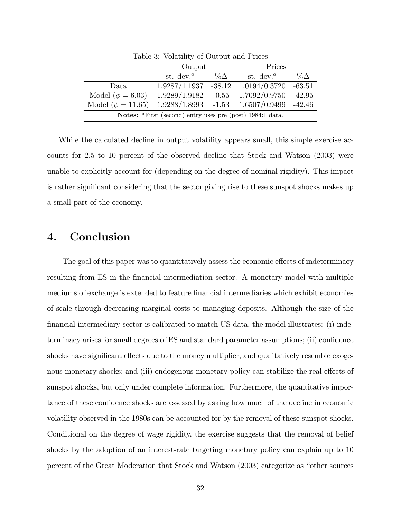| Table 3: Volatility of Output and Prices                  |                                    |            |                                    |            |  |  |  |
|-----------------------------------------------------------|------------------------------------|------------|------------------------------------|------------|--|--|--|
|                                                           | Output                             |            | Prices                             |            |  |  |  |
|                                                           | st. dev. <sup><math>a</math></sup> | $\%\Delta$ | st. dev. <sup><math>a</math></sup> | $\%\Delta$ |  |  |  |
| Data.                                                     | 1.9287/1.1937                      | $-38.12$   | 1.0194/0.3720                      | $-63.51$   |  |  |  |
| Model ( $\phi = 6.03$ )                                   | 1.9289/1.9182                      | $-0.55$    | 1.7092/0.9750                      | $-42.95$   |  |  |  |
| Model ( $\phi = 11.65$ )                                  | $1.9288/1.8993 -1.53$              |            | $1.6507/0.9499$ -42.46             |            |  |  |  |
| Notes: "First (second) entry uses pre (post) 1984:1 data. |                                    |            |                                    |            |  |  |  |

While the calculated decline in output volatility appears small, this simple exercise accounts for 2.5 to 10 percent of the observed decline that Stock and Watson (2003) were unable to explicitly account for (depending on the degree of nominal rigidity). This impact is rather significant considering that the sector giving rise to these sunspot shocks makes up a small part of the economy.

### 4. Conclusion

The goal of this paper was to quantitatively assess the economic effects of indeterminacy resulting from ES in the financial intermediation sector. A monetary model with multiple mediums of exchange is extended to feature financial intermediaries which exhibit economies of scale through decreasing marginal costs to managing deposits. Although the size of the financial intermediary sector is calibrated to match US data, the model illustrates: (i) indeterminacy arises for small degrees of ES and standard parameter assumptions; (ii) confidence shocks have significant effects due to the money multiplier, and qualitatively resemble exogenous monetary shocks; and (iii) endogenous monetary policy can stabilize the real effects of sunspot shocks, but only under complete information. Furthermore, the quantitative importance of these confidence shocks are assessed by asking how much of the decline in economic volatility observed in the 1980s can be accounted for by the removal of these sunspot shocks. Conditional on the degree of wage rigidity, the exercise suggests that the removal of belief shocks by the adoption of an interest-rate targeting monetary policy can explain up to 10 percent of the Great Moderation that Stock and Watson (2003) categorize as "other sources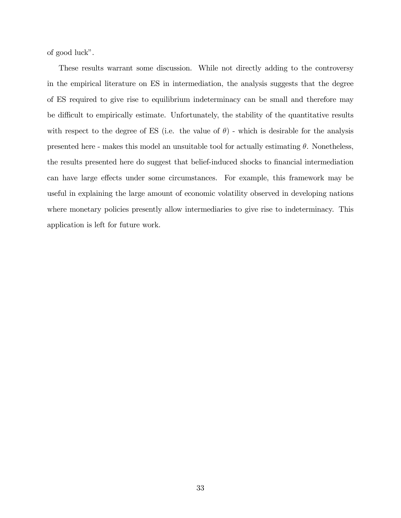of good luck".

These results warrant some discussion. While not directly adding to the controversy in the empirical literature on ES in intermediation, the analysis suggests that the degree of ES required to give rise to equilibrium indeterminacy can be small and therefore may be difficult to empirically estimate. Unfortunately, the stability of the quantitative results with respect to the degree of ES (i.e. the value of  $\theta$ ) - which is desirable for the analysis presented here - makes this model an unsuitable tool for actually estimating  $\theta$ . Nonetheless, the results presented here do suggest that belief-induced shocks to financial intermediation can have large effects under some circumstances. For example, this framework may be useful in explaining the large amount of economic volatility observed in developing nations where monetary policies presently allow intermediaries to give rise to indeterminacy. This application is left for future work.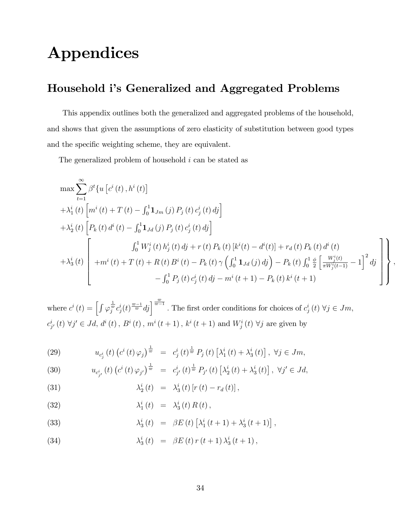## Appendices

## Household i's Generalized and Aggregated Problems

This appendix outlines both the generalized and aggregated problems of the household, and shows that given the assumptions of zero elasticity of substitution between good types and the specific weighting scheme, they are equivalent.

The generalized problem of household i can be stated as

$$
\max \sum_{t=1}^{\infty} \beta^{t} \{ u \left[ c^{i} \left( t \right), h^{i} \left( t \right) \right] \n+ \lambda_{1}^{i} \left( t \right) \left[ m^{i} \left( t \right) + T \left( t \right) - \int_{0}^{1} \mathbf{1}_{Jm} \left( j \right) P_{j} \left( t \right) c_{j}^{i} \left( t \right) d_{j} \right] \n+ \lambda_{2}^{i} \left( t \right) \left[ P_{k} \left( t \right) d^{i} \left( t \right) - \int_{0}^{1} \mathbf{1}_{Jd} \left( j \right) P_{j} \left( t \right) c_{j}^{i} \left( t \right) d_{j} \right] \n+ \lambda_{2}^{i} \left( t \right) \left[ P_{k} \left( t \right) d^{i} \left( t \right) - \int_{0}^{1} \mathbf{1}_{Jd} \left( j \right) P_{j} \left( t \right) c_{j}^{i} \left( t \right) d_{j} \right] \n+ \lambda_{3}^{i} \left( t \right) \left[ m^{i} \left( t \right) + T \left( t \right) + R \left( t \right) B^{i} \left( t \right) - P_{k} \left( t \right) \gamma \left( \int_{0}^{1} \mathbf{1}_{Jd} \left( j \right) d_{j} \right) - P_{k} \left( t \right) \int_{0}^{1} \frac{\phi}{2} \left[ \frac{W_{j}^{i}(t)}{\pi W_{j}^{i}(t-1)} - 1 \right]^{2} d_{j} \right] \n- \int_{0}^{1} P_{j} \left( t \right) c_{j}^{i} \left( t \right) d_{j} - m^{i} \left( t + 1 \right) - P_{k} \left( t \right) k^{i} \left( t + 1 \right)
$$

;

where  $c^i(t) = \int \varphi$  $\frac{1}{\bar{g}}c_j^i(t)^{\frac{\omega-1}{\omega}}dj\Big]^{\frac{\omega}{\omega-1}}$ . The first order conditions for choices of  $c_j^i(t)$   $\forall j \in Jm$ ,  $c_{j'}^{i}(t) \ \forall j' \in Jd, d^{i}(t)$ ,  $B^{i}(t)$ ,  $m^{i}(t+1)$ ,  $k^{i}(t+1)$  and  $W_{j}^{i}(t) \ \forall j$  are given by

(29) 
$$
u_{c_j^i}(t) (c^i(t)\varphi_j)^{\frac{1}{\varpi}} = c_j^i(t)^{\frac{1}{\varpi}} P_j(t) [\lambda_1^i(t) + \lambda_3^i(t)], \ \forall j \in Jm,
$$

(30) 
$$
u_{c_{j'}^i}(t) (c^i(t)\varphi_{j'})^{\frac{1}{\varpi}} = c_{j'}^i(t)^{\frac{1}{\varpi}} P_{j'}(t) [\lambda_2^i(t) + \lambda_3^i(t)], \ \forall j' \in Jd,
$$

(31) 
$$
\lambda_2^i(t) = \lambda_3^i(t) [r(t) - r_d(t)],
$$

(32) 
$$
\lambda_1^i(t) = \lambda_3^i(t) R(t),
$$

(33) 
$$
\lambda_3^i(t) = \beta E(t) \left[ \lambda_1^i(t+1) + \lambda_3^i(t+1) \right],
$$

(34) 
$$
\lambda_3^i(t) = \beta E(t) r(t+1) \lambda_3^i(t+1),
$$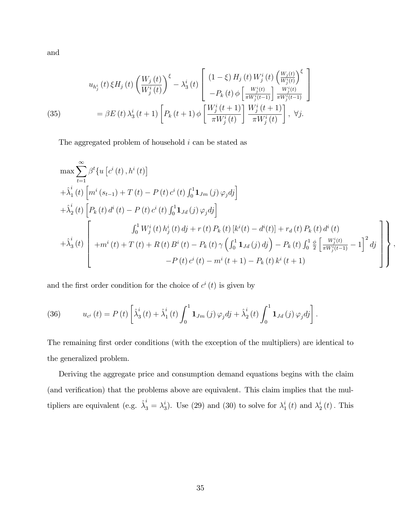and

(35) 
$$
u_{h_j^i}(t) \xi H_j(t) \left(\frac{W_j(t)}{W_j^i(t)}\right)^{\xi} - \lambda_3^i(t) \left[\begin{array}{c} (1-\xi) H_j(t) W_j^i(t) \left(\frac{W_j(t)}{W_j^i(t)}\right)^{\xi} \\ -P_k(t) \phi \left[\frac{W_j^i(t)}{\pi W_j^i(t-1)}\right] \frac{W_j^i(t)}{\pi W_j^i(t-1)} \end{array}\right] \\ = \beta E(t) \lambda_3^i(t+1) \left[P_k(t+1) \phi \left[\frac{W_j^i(t+1)}{\pi W_j^i(t)}\right] \frac{W_j^i(t+1)}{\pi W_j^i(t)}\right], \ \forall j.
$$

The aggregated problem of household  $i$  can be stated as

$$
\max \sum_{t=1}^{\infty} \beta^{t} \{ u \left[ c^{i} \left( t \right), h^{i} \left( t \right) \right] \n+ \hat{\lambda}_{1}^{i} \left( t \right) \left[ m^{i} \left( s_{t-1} \right) + T \left( t \right) - P \left( t \right) c^{i} \left( t \right) \int_{0}^{1} \mathbf{1}_{Jm} \left( j \right) \varphi_{j} d j \right] \n+ \hat{\lambda}_{2}^{i} \left( t \right) \left[ P_{k} \left( t \right) d^{i} \left( t \right) - P \left( t \right) c^{i} \left( t \right) \int_{0}^{1} \mathbf{1}_{Jd} \left( j \right) \varphi_{j} d j \right] \n+ \hat{\lambda}_{3}^{i} \left( t \right) \left[ P_{k} \left( t \right) d^{i} \left( t \right) - P \left( t \right) c^{i} \left( t \right) \int_{0}^{1} \mathbf{1}_{Jd} \left( j \right) \varphi_{j} d j \right] \n+ \hat{\lambda}_{3}^{i} \left( t \right) \left[ + m^{i} \left( t \right) + T \left( t \right) + R \left( t \right) B^{i} \left( t \right) - P_{k} \left( t \right) \gamma \left( \int_{0}^{1} \mathbf{1}_{Jd} \left( j \right) d j \right) - P_{k} \left( t \right) \int_{0}^{1} \frac{\phi}{2} \left[ \frac{W_{j}^{i}(t)}{\pi W_{j}^{i}(t-1)} - 1 \right]^{2} d j \right] \n- P \left( t \right) c^{i} \left( t \right) - m^{i} \left( t + 1 \right) - P_{k} \left( t \right) k^{i} \left( t + 1 \right)
$$

;

and the first order condition for the choice of  $c^i(t)$  is given by

(36) 
$$
u_{c^{i}}(t) = P(t) \left[ \lambda_{3}^{i}(t) + \lambda_{1}^{i}(t) \int_{0}^{1} \mathbf{1}_{Jm}(j) \varphi_{j} d j + \lambda_{2}^{i}(t) \int_{0}^{1} \mathbf{1}_{Jd}(j) \varphi_{j} d j \right].
$$

The remaining first order conditions (with the exception of the multipliers) are identical to the generalized problem.

Deriving the aggregate price and consumption demand equations begins with the claim (and verification) that the problems above are equivalent. This claim implies that the multipliers are equivalent (e.g.  $\hat{\lambda}_3^i = \lambda_3^i$  $_3^i$ ). Use (29) and (30) to solve for  $\lambda_1^i$  $i_{1}^{i}\left(t\right)$  and  $\lambda_{2}^{i}$  $\frac{1}{2}(t)$ . This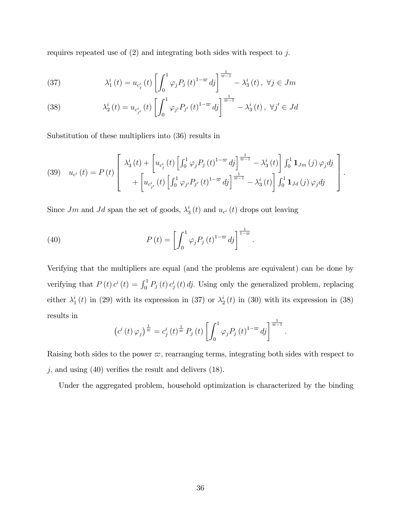requires repeated use of  $(2)$  and integrating both sides with respect to j.

(37) 
$$
\lambda_1^i(t) = u_{c_j^i}(t) \left[ \int_0^1 \varphi_j P_j(t)^{1-\varpi} d j \right]^{\frac{1}{\varpi-1}} - \lambda_3^i(t), \ \forall j \in Jm
$$

(38) 
$$
\lambda_2^i(t) = u_{c_{j'}^i}(t) \left[ \int_0^1 \varphi_{j'} P_{j'}(t)^{1-\varpi} d j \right]^{\frac{1}{\varpi-1}} - \lambda_3^i(t), \ \forall j' \in Jd
$$

Substitution of these multipliers into (36) results in

(39) 
$$
u_{c^{i}}(t) = P(t) \left[ \begin{array}{c} \lambda_{3}^{i}(t) + \left[ u_{c_{j}^{i}}(t) \left[ \int_{0}^{1} \varphi_{j} P_{j}(t)^{1-\varpi} d j \right]_{\varpi}^{\frac{1}{\varpi-1}} - \lambda_{3}^{i}(t) \right] \int_{0}^{1} \mathbf{1}_{J_{m}}(j) \varphi_{j} d j \\ + \left[ u_{c_{j}^{i}}(t) \left[ \int_{0}^{1} \varphi_{j} P_{j}(t)^{1-\varpi} d j \right]_{\varpi}^{\frac{1}{\varpi-1}} - \lambda_{3}^{i}(t) \right] \int_{0}^{1} \mathbf{1}_{J d}(j) \varphi_{j} d j \end{array} \right].
$$

Since  $Jm$  and  $Jd$  span the set of goods,  $\lambda_3^i$  $\frac{i}{3}(t)$  and  $u_{c^i}(t)$  drops out leaving

(40) 
$$
P(t) = \left[ \int_0^1 \varphi_j P_j(t)^{1-\varpi} d_j \right]^{\frac{1}{1-\varpi}}
$$

Verifying that the multipliers are equal (and the problems are equivalent) can be done by verifying that  $P(t) c^{i}(t) = \int_{0}^{1} P_{j}(t) c^{i}(t) dt$ . Using only the generalized problem, replacing either  $\lambda_1^i$  $i_{1}^{i}(t)$  in (29) with its expression in (37) or  $\lambda_{2}^{i}$  $t_2^i(t)$  in (30) with its expression in (38) results in

:

$$
\left(c^{i}\left(t\right)\varphi_{j}\right)^{\frac{1}{\omega}}=c_{j}^{i}\left(t\right)^{\frac{1}{\omega}}P_{j}\left(t\right)\left[\int_{0}^{1}\varphi_{j}P_{j}\left(t\right)^{1-\omega}dj\right]^{\frac{1}{\omega-1}}.
$$

Raising both sides to the power  $\varpi$ , rearranging terms, integrating both sides with respect to  $j$ , and using (40) verifies the result and delivers (18).

Under the aggregated problem, household optimization is characterized by the binding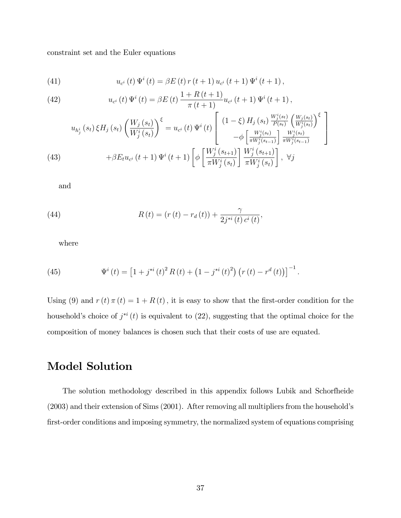constraint set and the Euler equations

(41) 
$$
u_{c^{i}}(t)\Psi^{i}(t) = \beta E(t) r(t+1) u_{c^{i}}(t+1) \Psi^{i}(t+1),
$$

(42) 
$$
u_{c^{i}}(t)\Psi^{i}(t) = \beta E(t)\frac{1+R(t+1)}{\pi(t+1)}u_{c^{i}}(t+1)\Psi^{i}(t+1),
$$

(43) 
$$
u_{h_j^i}(s_t) \xi H_j(s_t) \left(\frac{W_j(s_t)}{W_j^i(s_t)}\right)^{\xi} = u_{c^i}(t) \Psi^i(t) \left[\begin{array}{c} (1-\xi) H_j(s_t) \frac{W_j^i(s_t)}{P(s_t)} \left(\frac{W_j(s_t)}{W_j^i(s_t)}\right)^{\xi} \\ -\phi \left[\frac{W_j^i(s_t)}{\pi W_j^i(s_{t-1})}\right] \frac{W_j^i(s_t)}{\pi W_j^i(s_{t-1})} \end{array}\right] + \beta E_t u_{c^i}(t+1) \Psi^i(t+1) \left[\phi \left[\frac{W_j^i(s_{t+1})}{\pi W_j^i(s_t)}\right] \frac{W_j^i(s_{t+1})}{\pi W_j^i(s_t)}\right], \ \forall j
$$

and

(44) 
$$
R(t) = (r(t) - r_d(t)) + \frac{\gamma}{2j^{*i}(t) c^i(t)},
$$

where

(45) 
$$
\Psi^{i}(t) = \left[1 + j^{*i}(t)^{2} R(t) + \left(1 - j^{*i}(t)^{2}\right) \left(r(t) - r^{d}(t)\right)\right]^{-1}.
$$

Using (9) and  $r(t) \pi(t) = 1 + R(t)$ , it is easy to show that the first-order condition for the household's choice of  $j^{*i}(t)$  is equivalent to (22), suggesting that the optimal choice for the composition of money balances is chosen such that their costs of use are equated.

## Model Solution

The solution methodology described in this appendix follows Lubik and Schorfheide  $(2003)$  and their extension of Sims  $(2001)$ . After removing all multipliers from the household's first-order conditions and imposing symmetry, the normalized system of equations comprising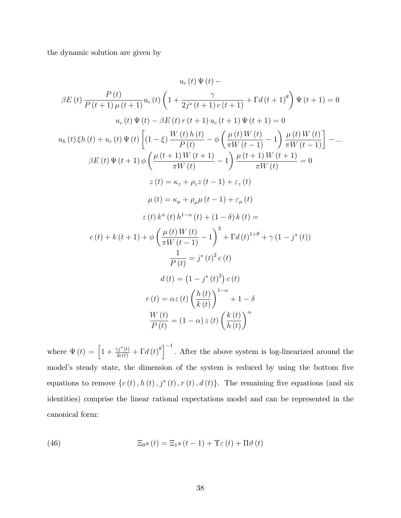the dynamic solution are given by

$$
u_{c}(t) \Psi(t) -
$$
\n
$$
\beta E(t) \frac{P(t)}{P(t+1)\mu(t+1)} u_{c}(t) \left(1 + \frac{\gamma}{2j^{*}(t+1)} \frac{\gamma}{c(t+1)} + \Gamma d(t+1)^{\theta}\right) \Psi(t+1) = 0
$$
\n
$$
u_{c}(t) \Psi(t) - \beta E(t) r(t+1) u_{c}(t+1) \Psi(t+1) = 0
$$
\n
$$
u_{h}(t) \xi h(t) + u_{c}(t) \Psi(t) \left[(1 - \xi) \frac{W(t) h(t)}{P(t)} - \phi \left(\frac{\mu(t) W(t)}{\pi W(t-1)} - 1\right) \frac{\mu(t) W(t)}{\pi W(t-1)}\right] - \dots
$$
\n
$$
\beta E(t) \Psi(t+1) \phi \left(\frac{\mu(t+1) W(t+1)}{\pi W(t)} - 1\right) \frac{\mu(t+1) W(t+1)}{\pi W(t)} = 0
$$
\n
$$
z(t) = \kappa_{z} + \rho_{z} z(t-1) + \varepsilon_{z}(t)
$$
\n
$$
\mu(t) = \kappa_{\mu} + \rho_{\mu} \mu(t-1) + \varepsilon_{\mu}(t)
$$
\n
$$
z(t) k^{\alpha}(t) h^{1-\alpha}(t) + (1 - \delta) k(t) =
$$
\n
$$
c(t) + k(t+1) + \phi \left(\frac{\mu(t) W(t)}{\pi W(t-1)} - 1\right)^{2} + \Gamma d(t)^{1+\theta} + \gamma (1 - j^{*}(t))
$$
\n
$$
\frac{1}{P(t)} = j^{*}(t)^{2} c(t)
$$
\n
$$
d(t) = (1 - j^{*}(t)^{2}) c(t)
$$
\n
$$
r(t) = \alpha z(t) \left(\frac{h(t)}{k(t)}\right)^{1-\alpha} + 1 - \delta
$$
\n
$$
\frac{W(t)}{P(t)} = (1 - \alpha) z(t) \left(\frac{k(t)}{h(t)}\right)^{\alpha}
$$

where  $\Psi(t) = \left[1 + \frac{\gamma j^*(t)}{2c(t)} + \Gamma d(t)^{\theta}\right]^{-1}$ . After the above system is log-linearized around the model's steady state, the dimension of the system is reduced by using the bottom five equations to remove  $\{c(t), h(t), j^*(t), r(t), d(t)\}.$  The remaining five equations (and six identities) comprise the linear rational expectations model and can be represented in the canonical form:

(46) 
$$
\Xi_0 s(t) = \Xi_1 s(t-1) + \Upsilon \varepsilon(t) + \Pi \vartheta(t)
$$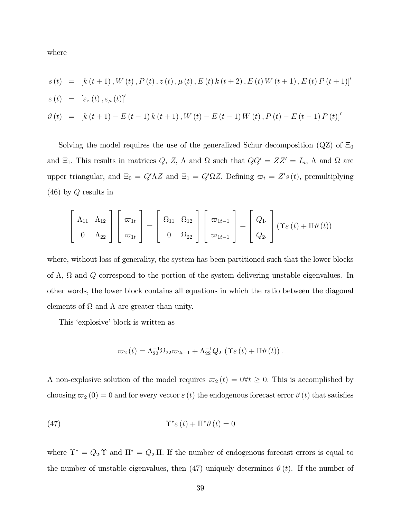where

$$
s(t) = [k(t+1), W(t), P(t), z(t), \mu(t), E(t)k(t+2), E(t)W(t+1), E(t)P(t+1)]'
$$
  
\n
$$
\varepsilon(t) = [\varepsilon_z(t), \varepsilon_{\mu}(t)]'
$$
  
\n
$$
\vartheta(t) = [k(t+1) - E(t-1)k(t+1), W(t) - E(t-1)W(t), P(t) - E(t-1)P(t)]'
$$

Solving the model requires the use of the generalized Schur decomposition (QZ) of  $\Xi_0$ and  $\Xi_1$ . This results in matrices Q, Z,  $\Lambda$  and  $\Omega$  such that  $QQ' = ZZ' = I_n$ ,  $\Lambda$  and  $\Omega$  are upper triangular, and  $\Xi_0 = Q'\Lambda Z$  and  $\Xi_1 = Q'\Omega Z$ . Defining  $\varpi_t = Z's(t)$ , premultiplying (46) by Q results in

$$
\begin{bmatrix}\n\Lambda_{11} & \Lambda_{12} \\
0 & \Lambda_{22}\n\end{bmatrix}\n\begin{bmatrix}\n\varpi_{1t} \\
\varpi_{1t}\n\end{bmatrix} =\n\begin{bmatrix}\n\Omega_{11} & \Omega_{12} \\
0 & \Omega_{22}\n\end{bmatrix}\n\begin{bmatrix}\n\varpi_{1t-1} \\
\varpi_{1t-1}\n\end{bmatrix} +\n\begin{bmatrix}\nQ_1 \\
Q_2\n\end{bmatrix} (\Upsilon \varepsilon(t) + \Pi \vartheta(t))
$$

where, without loss of generality, the system has been partitioned such that the lower blocks of  $\Lambda$ ,  $\Omega$  and  $Q$  correspond to the portion of the system delivering unstable eigenvalues. In other words, the lower block contains all equations in which the ratio between the diagonal elements of  $\Omega$  and  $\Lambda$  are greater than unity.

This 'explosive' block is written as

$$
\varpi_2(t) = \Lambda_{22}^{-1} \Omega_{22} \varpi_{2t-1} + \Lambda_{22}^{-1} Q_{2} \left( \Upsilon \varepsilon(t) + \Pi \vartheta(t) \right).
$$

A non-explosive solution of the model requires  $\varpi_2 (t) = 0 \forall t \geq 0$ . This is accomplished by choosing  $\varpi_2 (0) = 0$  and for every vector  $\varepsilon (t)$  the endogenous forecast error  $\vartheta (t)$  that satisfies

(47) 
$$
\Upsilon^* \varepsilon(t) + \Pi^* \vartheta(t) = 0
$$

where  $\Upsilon^* = Q_2 \Upsilon$  and  $\Pi^* = Q_2 \Pi$ . If the number of endogenous forecast errors is equal to the number of unstable eigenvalues, then (47) uniquely determines  $\vartheta(t)$ . If the number of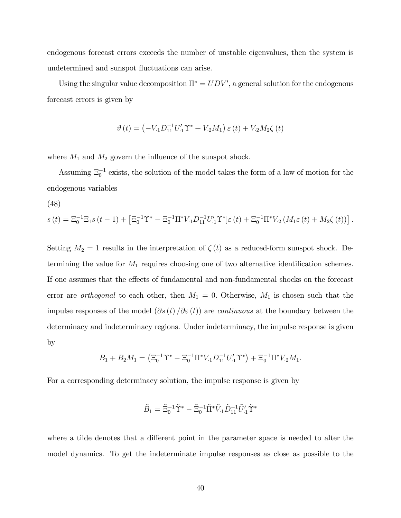endogenous forecast errors exceeds the number of unstable eigenvalues, then the system is undetermined and sunspot fluctuations can arise.

Using the singular value decomposition  $\Pi^* = UDV'$ , a general solution for the endogenous forecast errors is given by

$$
\vartheta(t) = \left(-V_{1}D_{11}^{-1}U_{1}'\Upsilon^{*} + V_{2}M_{1}\right)\varepsilon(t) + V_{2}M_{2}\zeta(t)
$$

where  $M_1$  and  $M_2$  govern the influence of the sunspot shock.

Assuming  $\Xi_0^{-1}$  exists, the solution of the model takes the form of a law of motion for the endogenous variables

$$
(48)
$$

$$
s(t) = \Xi_0^{-1} \Xi_1 s(t-1) + \left[ \Xi_0^{-1} \Upsilon^* - \Xi_0^{-1} \Pi^* V_{\cdot 1} D_{11}^{-1} U'_{\cdot 1} \Upsilon^* \right] \varepsilon(t) + \Xi_0^{-1} \Pi^* V_{\cdot 2} \left( M_1 \varepsilon(t) + M_2 \zeta(t) \right).
$$

Setting  $M_2 = 1$  results in the interpretation of  $\zeta(t)$  as a reduced-form sunspot shock. Determining the value for  $M_1$  requires choosing one of two alternative identification schemes. If one assumes that the effects of fundamental and non-fundamental shocks on the forecast error are *orthogonal* to each other, then  $M_1 = 0$ . Otherwise,  $M_1$  is chosen such that the impulse responses of the model  $(\partial s(t)/\partial \varepsilon(t))$  are *continuous* at the boundary between the determinacy and indeterminacy regions. Under indeterminacy, the impulse response is given by

$$
B_1 + B_2 M_1 = \left(\Xi_0^{-1} \Upsilon^* - \Xi_0^{-1} \Pi^* V_{\cdot 1} D_{11}^{-1} U_{\cdot 1}' \Upsilon^*\right) + \Xi_0^{-1} \Pi^* V_{\cdot 2} M_1.
$$

For a corresponding determinacy solution, the impulse response is given by

$$
\tilde{B}_1 = \tilde{\Xi}_0^{-1} \tilde{\Upsilon}^* - \tilde{\Xi}_0^{-1} \tilde{\Pi}^* \tilde{V}_1 \tilde{D}_{11}^{-1} \tilde{U}'_1 \tilde{\Upsilon}^*
$$

where a tilde denotes that a different point in the parameter space is needed to alter the model dynamics. To get the indeterminate impulse responses as close as possible to the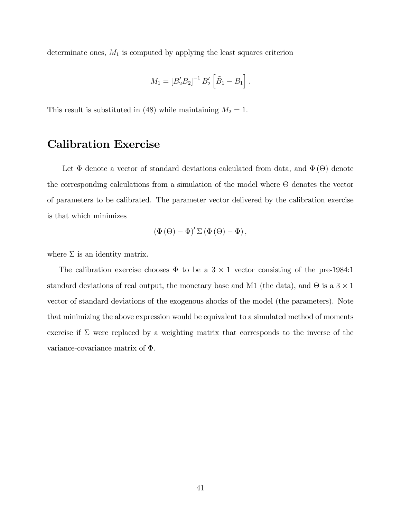determinate ones,  $M_1$  is computed by applying the least squares criterion

$$
M_1 = [B_2' B_2]^{-1} B_2' [\tilde{B}_1 - B_1].
$$

This result is substituted in (48) while maintaining  $M_2 = 1$ .

## Calibration Exercise

Let  $\Phi$  denote a vector of standard deviations calculated from data, and  $\Phi(\Theta)$  denote the corresponding calculations from a simulation of the model where  $\Theta$  denotes the vector of parameters to be calibrated. The parameter vector delivered by the calibration exercise is that which minimizes

$$
\left(\Phi\left(\Theta\right)-\Phi\right)'\Sigma\left(\Phi\left(\Theta\right)-\Phi\right),\,
$$

where  $\Sigma$  is an identity matrix.

The calibration exercise chooses  $\Phi$  to be a 3  $\times$  1 vector consisting of the pre-1984:1 standard deviations of real output, the monetary base and M1 (the data), and  $\Theta$  is a  $3 \times 1$ vector of standard deviations of the exogenous shocks of the model (the parameters). Note that minimizing the above expression would be equivalent to a simulated method of moments exercise if  $\Sigma$  were replaced by a weighting matrix that corresponds to the inverse of the variance-covariance matrix of  $\Phi$ .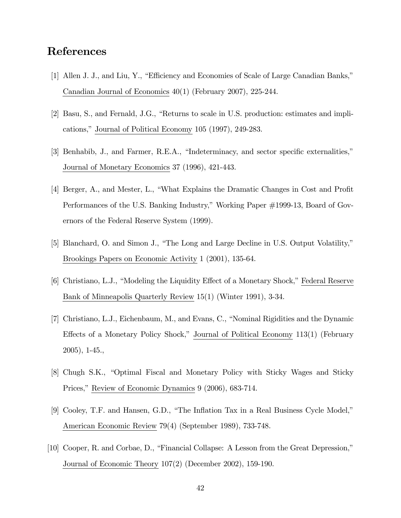## References

- [1] Allen J. J., and Liu, Y., "Efficiency and Economies of Scale of Large Canadian Banks," Canadian Journal of Economics 40(1) (February 2007), 225-244.
- [2] Basu, S., and Fernald, J.G., "Returns to scale in U.S. production: estimates and implications," Journal of Political Economy 105 (1997), 249-283.
- [3] Benhabib, J., and Farmer, R.E.A., "Indeterminacy, and sector specific externalities," Journal of Monetary Economics 37 (1996), 421-443.
- [4] Berger, A., and Mester, L., "What Explains the Dramatic Changes in Cost and Profit Performances of the U.S. Banking Industry," Working Paper #1999-13, Board of Governors of the Federal Reserve System (1999).
- [5] Blanchard, O. and Simon J., "The Long and Large Decline in U.S. Output Volatility," Brookings Papers on Economic Activity 1 (2001), 135-64.
- [6] Christiano, L.J., "Modeling the Liquidity Effect of a Monetary Shock," Federal Reserve Bank of Minneapolis Quarterly Review 15(1) (Winter 1991), 3-34.
- [7] Christiano, L.J., Eichenbaum, M., and Evans, C., "Nominal Rigidities and the Dynamic Effects of a Monetary Policy Shock," Journal of Political Economy 113(1) (February 2005), 1-45.,
- [8] Chugh S.K., "Optimal Fiscal and Monetary Policy with Sticky Wages and Sticky Prices," Review of Economic Dynamics 9 (2006), 683-714.
- [9] Cooley, T.F. and Hansen, G.D., "The Inflation Tax in a Real Business Cycle Model," American Economic Review 79(4) (September 1989), 733-748.
- $[10]$  Cooper, R. and Corbae, D., "Financial Collapse: A Lesson from the Great Depression," Journal of Economic Theory 107(2) (December 2002), 159-190.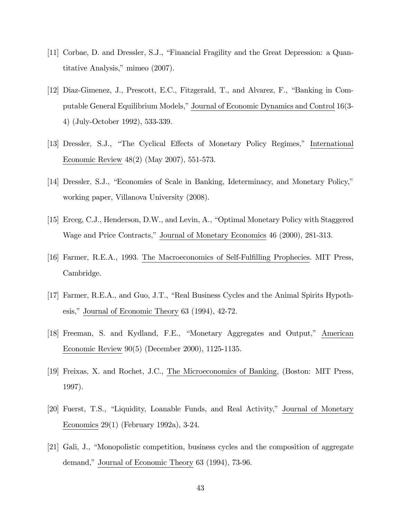- [11] Corbae, D. and Dressler, S.J., "Financial Fragility and the Great Depression: a Quantitative Analysis," mimeo  $(2007)$ .
- [12] Diaz-Gimenez, J., Prescott, E.C., Fitzgerald, T., and Alvarez, F., "Banking in Computable General Equilibrium Models," Journal of Economic Dynamics and Control 16(3-4) (July-October 1992), 533-339.
- [13] Dressler, S.J., "The Cyclical Effects of Monetary Policy Regimes," International Economic Review 48(2) (May 2007), 551-573.
- [14] Dressler, S.J., "Economies of Scale in Banking, Ideterminacy, and Monetary Policy," working paper, Villanova University (2008).
- [15] Erceg, C.J., Henderson, D.W., and Levin, A., "Optimal Monetary Policy with Staggered Wage and Price Contracts," Journal of Monetary Economics 46 (2000), 281-313.
- [16] Farmer, R.E.A., 1993. The Macroeconomics of Self-Fulfilling Prophecies. MIT Press, Cambridge.
- [17] Farmer, R.E.A., and Guo, J.T., "Real Business Cycles and the Animal Spirits Hypothesis," Journal of Economic Theory  $63$  (1994),  $42$ -72.
- [18] Freeman, S. and Kydland, F.E., "Monetary Aggregates and Output," American Economic Review 90(5) (December 2000), 1125-1135.
- [19] Freixas, X. and Rochet, J.C., The Microeconomics of Banking, (Boston: MIT Press, 1997).
- [20] Fuerst, T.S., "Liquidity, Loanable Funds, and Real Activity," Journal of Monetary Economics 29(1) (February 1992a), 3-24.
- [21] Gali, J., "Monopolistic competition, business cycles and the composition of aggregate demand," Journal of Economic Theory 63 (1994), 73-96.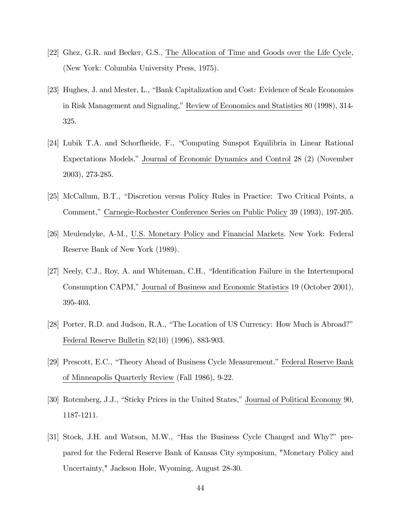- [22] Ghez, G.R. and Becker, G.S., The Allocation of Time and Goods over the Life Cycle, (New York: Columbia University Press, 1975).
- [23] Hughes, J. and Mester, L., "Bank Capitalization and Cost: Evidence of Scale Economies in Risk Management and Signaling," Review of Economics and Statistics 80 (1998), 314-325.
- [24] Lubik T.A. and Schorfheide, F., "Computing Sunspot Equilibria in Linear Rational Expectations Models,î Journal of Economic Dynamics and Control 28 (2) (November 2003), 273-285.
- [25] McCallum, B.T., "Discretion versus Policy Rules in Practice: Two Critical Points, a Comment," Carnegie-Rochester Conference Series on Public Policy 39 (1993), 197-205.
- [26] Meulendyke, A-M., U.S. Monetary Policy and Financial Markets: New York: Federal Reserve Bank of New York (1989).
- [27] Neely, C.J., Roy, A. and Whiteman, C.H., "Identification Failure in the Intertemporal Consumption CAPM," Journal of Business and Economic Statistics 19 (October 2001), 395-403.
- [28] Porter, R.D. and Judson, R.A., "The Location of US Currency: How Much is Abroad?" Federal Reserve Bulletin 82(10) (1996), 883-903.
- [29] Prescott, E.C., "Theory Ahead of Business Cycle Measurement." Federal Reserve Bank of Minneapolis Quarterly Review (Fall 1986), 9-22.
- [30] Rotemberg, J.J., "Sticky Prices in the United States," Journal of Political Economy 90, 1187-1211.
- [31] Stock, J.H. and Watson, M.W., "Has the Business Cycle Changed and Why?" prepared for the Federal Reserve Bank of Kansas City symposium, "Monetary Policy and Uncertainty," Jackson Hole, Wyoming, August 28-30.